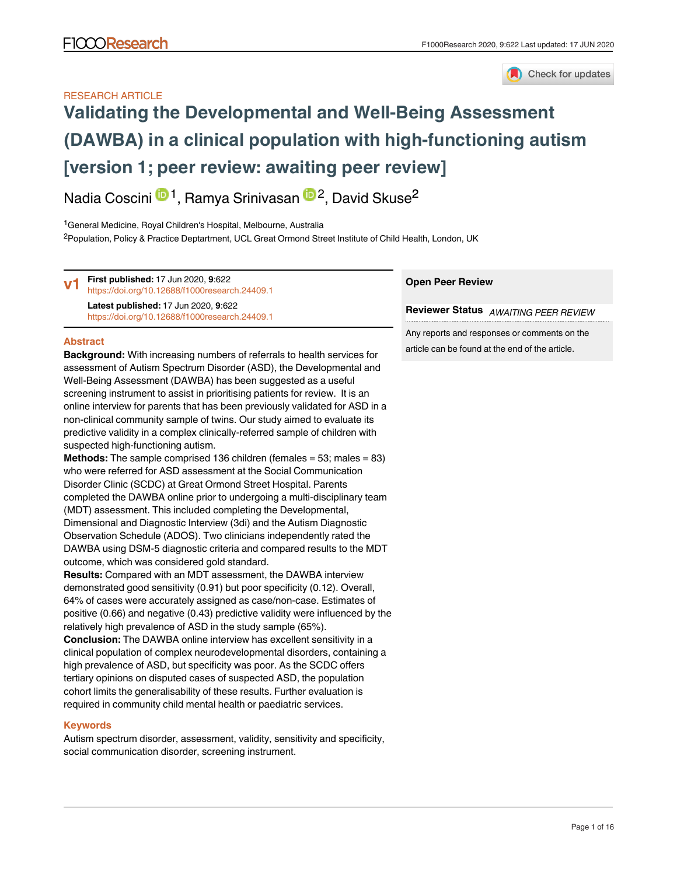

# RESEARCH ARTICLE

# **[Validating the Developmental and Well-Being Assessment](https://f1000research.com/articles/9-622/v1) [\(DAWBA\) in a clinical population with high-functioning autism](https://f1000research.com/articles/9-622/v1) [version 1; peer review: awaiting peer review]**

Nadia Coscini <sup>(D1</sup>, Ramya Srinivasan <sup>(D2</sup>, David Skuse<sup>2</sup>

<sup>1</sup> General Medicine, Royal Children's Hospital, Melbourne, Australia <sup>2</sup>Population, Policy & Practice Deptartment, UCL Great Ormond Street Institute of Child Health, London, UK

**Open Peer Review Reviewer Status** *AWAITING PEER REVIEW* **First published:** 17 Jun 2020, **9**:622 <https://doi.org/10.12688/f1000research.24409.1> **Latest published:** 17 Jun 2020, **9**:622 <https://doi.org/10.12688/f1000research.24409.1> **v1**

## **Abstract**

**Background:** With increasing numbers of referrals to health services for assessment of Autism Spectrum Disorder (ASD), the Developmental and Well-Being Assessment (DAWBA) has been suggested as a useful screening instrument to assist in prioritising patients for review. It is an online interview for parents that has been previously validated for ASD in a non-clinical community sample of twins. Our study aimed to evaluate its predictive validity in a complex clinically-referred sample of children with suspected high-functioning autism.

**Methods:** The sample comprised 136 children (females = 53; males = 83) who were referred for ASD assessment at the Social Communication Disorder Clinic (SCDC) at Great Ormond Street Hospital. Parents completed the DAWBA online prior to undergoing a multi-disciplinary team (MDT) assessment. This included completing the Developmental, Dimensional and Diagnostic Interview (3di) and the Autism Diagnostic Observation Schedule (ADOS). Two clinicians independently rated the DAWBA using DSM-5 diagnostic criteria and compared results to the MDT outcome, which was considered gold standard.

**Results:** Compared with an MDT assessment, the DAWBA interview demonstrated good sensitivity (0.91) but poor specificity (0.12). Overall, 64% of cases were accurately assigned as case/non-case. Estimates of positive (0.66) and negative (0.43) predictive validity were influenced by the relatively high prevalence of ASD in the study sample (65%).

**Conclusion:** The DAWBA online interview has excellent sensitivity in a clinical population of complex neurodevelopmental disorders, containing a high prevalence of ASD, but specificity was poor. As the SCDC offers tertiary opinions on disputed cases of suspected ASD, the population cohort limits the generalisability of these results. Further evaluation is required in community child mental health or paediatric services.

# **Keywords**

Autism spectrum disorder, assessment, validity, sensitivity and specificity, social communication disorder, screening instrument.

Any reports and responses or comments on the article can be found at the end of the article.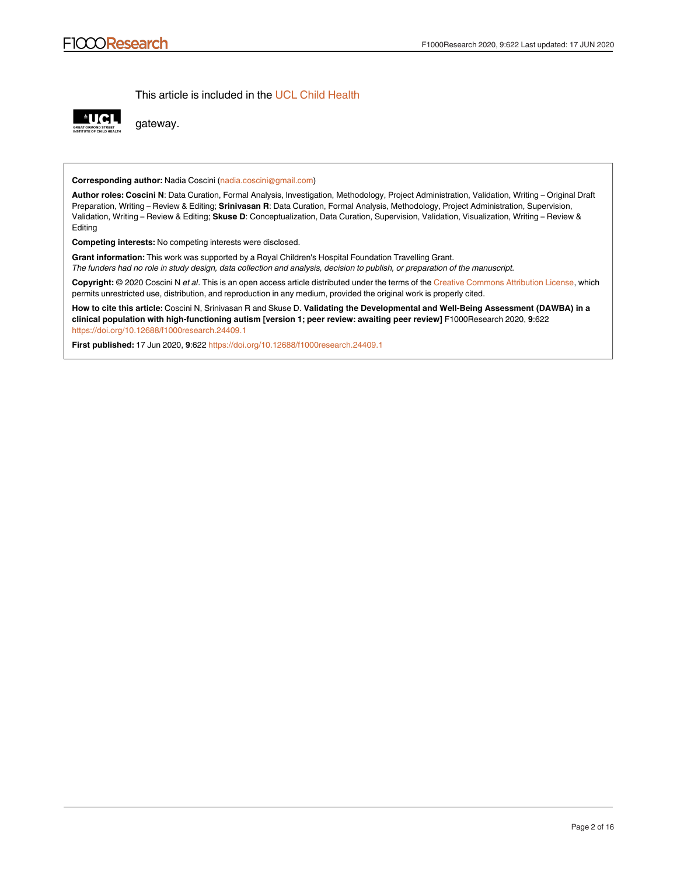This article is included in the [UCL Child Health](https://f1000research.com/gateways/uclchildhealth)



gateway.

**Corresponding author:** Nadia Coscini (nadia.coscini@gmail.com)

**Author roles: Coscini N**: Data Curation, Formal Analysis, Investigation, Methodology, Project Administration, Validation, Writing – Original Draft Preparation, Writing – Review & Editing; **Srinivasan R**: Data Curation, Formal Analysis, Methodology, Project Administration, Supervision, Validation, Writing – Review & Editing; **Skuse D**: Conceptualization, Data Curation, Supervision, Validation, Visualization, Writing – Review & Editing

**Competing interests:** No competing interests were disclosed.

**Grant information:** This work was supported by a Royal Children's Hospital Foundation Travelling Grant. *The funders had no role in study design, data collection and analysis, decision to publish, or preparation of the manuscript.*

**Copyright:** © 2020 Coscini N *et al*. This is an open access article distributed under the terms of the [Creative Commons Attribution License](http://creativecommons.org/licenses/by/4.0/), which permits unrestricted use, distribution, and reproduction in any medium, provided the original work is properly cited.

**How to cite this article:** Coscini N, Srinivasan R and Skuse D. **Validating the Developmental and Well-Being Assessment (DAWBA) in a clinical population with high-functioning autism [version 1; peer review: awaiting peer review]** F1000Research 2020, **9**:622 <https://doi.org/10.12688/f1000research.24409.1>

**First published:** 17 Jun 2020, **9**:622 <https://doi.org/10.12688/f1000research.24409.1>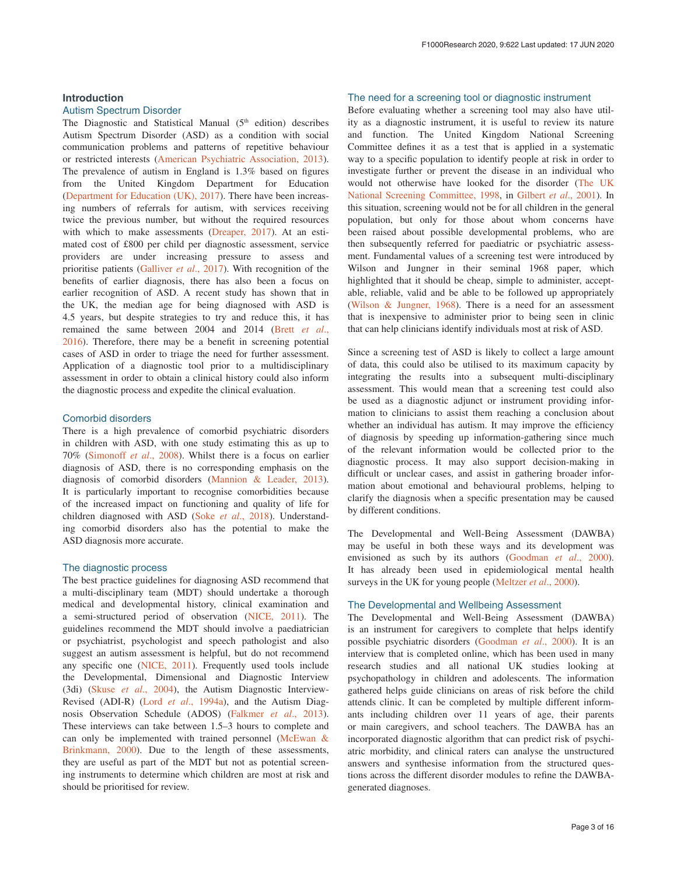## **Introduction**

#### Autism Spectrum Disorder

The Diagnostic and Statistical Manual  $(5<sup>th</sup>$  edition) describes Autism Spectrum Disorder (ASD) as a condition with social communication problems and patterns of repetitive behaviour or restricted interests ([American Psychiatric Association, 2013](#page-13-0)). The prevalence of autism in England is 1.3% based on figures from the United Kingdom Department for Education ([Department for Education \(UK\), 2017\)](#page-13-0). There have been increasing numbers of referrals for autism, with services receiving twice the previous number, but without the required resources with which to make assessments ([Dreaper, 2017](#page-13-0)). At an estimated cost of £800 per child per diagnostic assessment, service providers are under increasing pressure to assess and prioritise patients ([Galliver](#page-14-0) *et al*., 2017). With recognition of the benefits of earlier diagnosis, there has also been a focus on earlier recognition of ASD. A recent study has shown that in the UK, the median age for being diagnosed with ASD is 4.5 years, but despite strategies to try and reduce this, it has remained the same between 2004 and 2014 [\(Brett](#page-13-0) *et al*., [2016\)](#page-13-0). Therefore, there may be a benefit in screening potential cases of ASD in order to triage the need for further assessment. Application of a diagnostic tool prior to a multidisciplinary assessment in order to obtain a clinical history could also inform the diagnostic process and expedite the clinical evaluation.

## Comorbid disorders

There is a high prevalence of comorbid psychiatric disorders in children with ASD, with one study estimating this as up to 70% [\(Simonoff](#page-14-0) *et al*., 2008). Whilst there is a focus on earlier diagnosis of ASD, there is no corresponding emphasis on the diagnosis of comorbid disorders [\(Mannion & Leader, 2013](#page-14-0)). It is particularly important to recognise comorbidities because of the increased impact on functioning and quality of life for children diagnosed with ASD (Soke *et al*[., 2018\)](#page-14-0). Understanding comorbid disorders also has the potential to make the ASD diagnosis more accurate.

#### The diagnostic process

The best practice guidelines for diagnosing ASD recommend that a multi-disciplinary team (MDT) should undertake a thorough medical and developmental history, clinical examination and a semi-structured period of observation [\(NICE, 2011](#page-14-0)). The guidelines recommend the MDT should involve a paediatrician or psychiatrist, psychologist and speech pathologist and also suggest an autism assessment is helpful, but do not recommend any specific one ([NICE, 2011\)](#page-14-0). Frequently used tools include the Developmental, Dimensional and Diagnostic Interview (3di) (Skuse *et al*[., 2004\)](#page-14-0), the Autism Diagnostic Interview-Revised (ADI-R) (Lord *et al*[., 1994a\)](#page-14-0), and the Autism Diagnosis Observation Schedule (ADOS) ([Falkmer](#page-13-0) *et al*., 2013). These interviews can take between 1.5–3 hours to complete and can only be implemented with trained personnel (McEwan  $\&$ [Brinkmann, 2000](#page-14-0)). Due to the length of these assessments, they are useful as part of the MDT but not as potential screening instruments to determine which children are most at risk and should be prioritised for review.

## The need for a screening tool or diagnostic instrument

Before evaluating whether a screening tool may also have utility as a diagnostic instrument, it is useful to review its nature and function. The United Kingdom National Screening Committee defines it as a test that is applied in a systematic way to a specific population to identify people at risk in order to investigate further or prevent the disease in an individual who would not otherwise have looked for the disorder [\(The UK](#page-14-0) [National Screening Committee, 1998,](#page-14-0) in [Gilbert](#page-14-0) *et al*., 2001). In this situation, screening would not be for all children in the general population, but only for those about whom concerns have been raised about possible developmental problems, who are then subsequently referred for paediatric or psychiatric assessment. Fundamental values of a screening test were introduced by Wilson and Jungner in their seminal 1968 paper, which highlighted that it should be cheap, simple to administer, acceptable, reliable, valid and be able to be followed up appropriately ([Wilson & Jungner, 1968](#page-14-0)). There is a need for an assessment that is inexpensive to administer prior to being seen in clinic that can help clinicians identify individuals most at risk of ASD.

Since a screening test of ASD is likely to collect a large amount of data, this could also be utilised to its maximum capacity by integrating the results into a subsequent multi-disciplinary assessment. This would mean that a screening test could also be used as a diagnostic adjunct or instrument providing information to clinicians to assist them reaching a conclusion about whether an individual has autism. It may improve the efficiency of diagnosis by speeding up information-gathering since much of the relevant information would be collected prior to the diagnostic process. It may also support decision-making in difficult or unclear cases, and assist in gathering broader information about emotional and behavioural problems, helping to clarify the diagnosis when a specific presentation may be caused by different conditions.

The Developmental and Well-Being Assessment (DAWBA) may be useful in both these ways and its development was envisioned as such by its authors ([Goodman](#page-14-0) *et al*., 2000). It has already been used in epidemiological mental health surveys in the UK for young people ([Meltzer](#page-14-0) *et al*., 2000).

#### The Developmental and Wellbeing Assessment

The Developmental and Well-Being Assessment (DAWBA) is an instrument for caregivers to complete that helps identify possible psychiatric disorders ([Goodman](#page-14-0) *et al*., 2000). It is an interview that is completed online, which has been used in many research studies and all national UK studies looking at psychopathology in children and adolescents. The information gathered helps guide clinicians on areas of risk before the child attends clinic. It can be completed by multiple different informants including children over 11 years of age, their parents or main caregivers, and school teachers. The DAWBA has an incorporated diagnostic algorithm that can predict risk of psychiatric morbidity, and clinical raters can analyse the unstructured answers and synthesise information from the structured questions across the different disorder modules to refine the DAWBAgenerated diagnoses.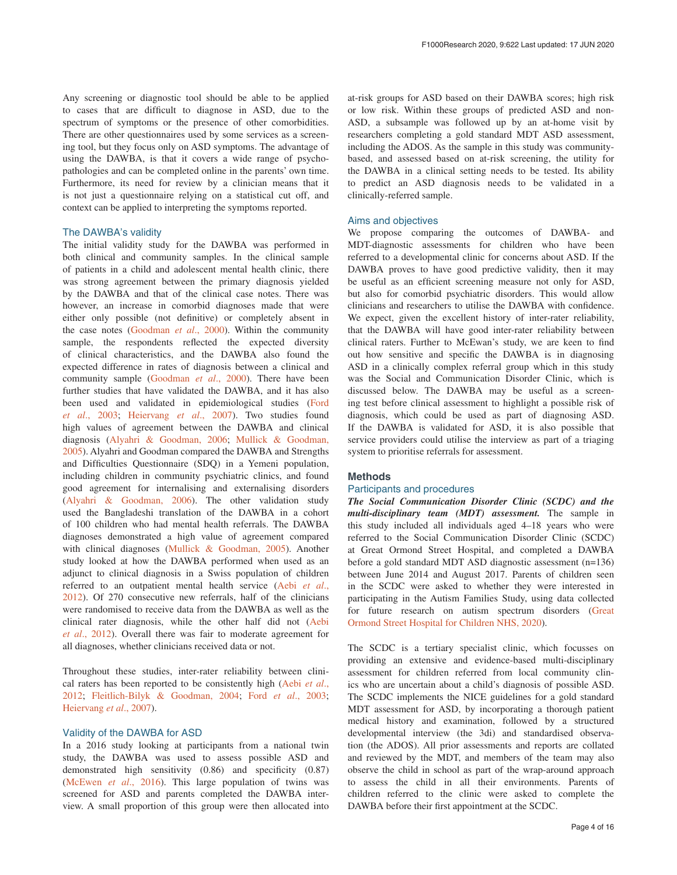Any screening or diagnostic tool should be able to be applied to cases that are difficult to diagnose in ASD, due to the spectrum of symptoms or the presence of other comorbidities. There are other questionnaires used by some services as a screening tool, but they focus only on ASD symptoms. The advantage of using the DAWBA, is that it covers a wide range of psychopathologies and can be completed online in the parents' own time. Furthermore, its need for review by a clinician means that it is not just a questionnaire relying on a statistical cut off, and context can be applied to interpreting the symptoms reported.

#### The DAWBA's validity

The initial validity study for the DAWBA was performed in both clinical and community samples. In the clinical sample of patients in a child and adolescent mental health clinic, there was strong agreement between the primary diagnosis yielded by the DAWBA and that of the clinical case notes. There was however, an increase in comorbid diagnoses made that were either only possible (not definitive) or completely absent in the case notes [\(Goodman](#page-14-0) *et al*., 2000). Within the community sample, the respondents reflected the expected diversity of clinical characteristics, and the DAWBA also found the expected difference in rates of diagnosis between a clinical and community sample [\(Goodman](#page-14-0) *et al*., 2000). There have been further studies that have validated the DAWBA, and it has also been used and validated in epidemiological studies ([Ford](#page-14-0) *et al*[., 2003;](#page-14-0) [Heiervang](#page-14-0) *et al*., 2007). Two studies found high values of agreement between the DAWBA and clinical diagnosis [\(Alyahri & Goodman, 2006;](#page-13-0) [Mullick & Goodman,](#page-14-0)  [2005\)](#page-14-0). Alyahri and Goodman compared the DAWBA and Strengths and Difficulties Questionnaire (SDQ) in a Yemeni population, including children in community psychiatric clinics, and found good agreement for internalising and externalising disorders ([Alyahri & Goodman, 2006](#page-13-0)). The other validation study used the Bangladeshi translation of the DAWBA in a cohort of 100 children who had mental health referrals. The DAWBA diagnoses demonstrated a high value of agreement compared with clinical diagnoses [\(Mullick & Goodman, 2005](#page-14-0)). Another study looked at how the DAWBA performed when used as an adjunct to clinical diagnosis in a Swiss population of children referred to an outpatient mental health service ([Aebi](#page-13-0) *et al*., [2012\)](#page-13-0). Of 270 consecutive new referrals, half of the clinicians were randomised to receive data from the DAWBA as well as the clinical rater diagnosis, while the other half did not [\(Aebi](#page-13-0) *et al*[., 2012\)](#page-13-0). Overall there was fair to moderate agreement for all diagnoses, whether clinicians received data or not.

Throughout these studies, inter-rater reliability between clinical raters has been reported to be consistently high [\(Aebi](#page-13-0) *et al*., [2012;](#page-13-0) [Fleitlich-Bilyk & Goodman, 2004](#page-14-0); Ford *et al*[., 2003](#page-14-0); [Heiervang](#page-14-0) *et al*., 2007).

## Validity of the DAWBA for ASD

In a 2016 study looking at participants from a national twin study, the DAWBA was used to assess possible ASD and demonstrated high sensitivity (0.86) and specificity (0.87) ([McEwen](#page-14-0) *et al*., 2016). This large population of twins was screened for ASD and parents completed the DAWBA interview. A small proportion of this group were then allocated into at-risk groups for ASD based on their DAWBA scores; high risk or low risk. Within these groups of predicted ASD and non-ASD, a subsample was followed up by an at-home visit by researchers completing a gold standard MDT ASD assessment, including the ADOS. As the sample in this study was communitybased, and assessed based on at-risk screening, the utility for the DAWBA in a clinical setting needs to be tested. Its ability to predict an ASD diagnosis needs to be validated in a clinically-referred sample.

## Aims and objectives

We propose comparing the outcomes of DAWBA- and MDT-diagnostic assessments for children who have been referred to a developmental clinic for concerns about ASD. If the DAWBA proves to have good predictive validity, then it may be useful as an efficient screening measure not only for ASD, but also for comorbid psychiatric disorders. This would allow clinicians and researchers to utilise the DAWBA with confidence. We expect, given the excellent history of inter-rater reliability, that the DAWBA will have good inter-rater reliability between clinical raters. Further to McEwan's study, we are keen to find out how sensitive and specific the DAWBA is in diagnosing ASD in a clinically complex referral group which in this study was the Social and Communication Disorder Clinic, which is discussed below. The DAWBA may be useful as a screening test before clinical assessment to highlight a possible risk of diagnosis, which could be used as part of diagnosing ASD. If the DAWBA is validated for ASD, it is also possible that service providers could utilise the interview as part of a triaging system to prioritise referrals for assessment.

#### **Methods**

#### Participants and procedures

*The Social Communication Disorder Clinic (SCDC) and the multi-disciplinary team (MDT) assessment.* The sample in this study included all individuals aged 4–18 years who were referred to the Social Communication Disorder Clinic (SCDC) at Great Ormond Street Hospital, and completed a DAWBA before a gold standard MDT ASD diagnostic assessment (n=136) between June 2014 and August 2017. Parents of children seen in the SCDC were asked to whether they were interested in participating in the Autism Families Study, using data collected for future research on autism spectrum disorders ([Great](#page-14-0) [Ormond Street Hospital for Children NHS, 2020\)](#page-14-0).

The SCDC is a tertiary specialist clinic, which focusses on providing an extensive and evidence-based multi-disciplinary assessment for children referred from local community clinics who are uncertain about a child's diagnosis of possible ASD. The SCDC implements the NICE guidelines for a gold standard MDT assessment for ASD, by incorporating a thorough patient medical history and examination, followed by a structured developmental interview (the 3di) and standardised observation (the ADOS). All prior assessments and reports are collated and reviewed by the MDT, and members of the team may also observe the child in school as part of the wrap-around approach to assess the child in all their environments. Parents of children referred to the clinic were asked to complete the DAWBA before their first appointment at the SCDC.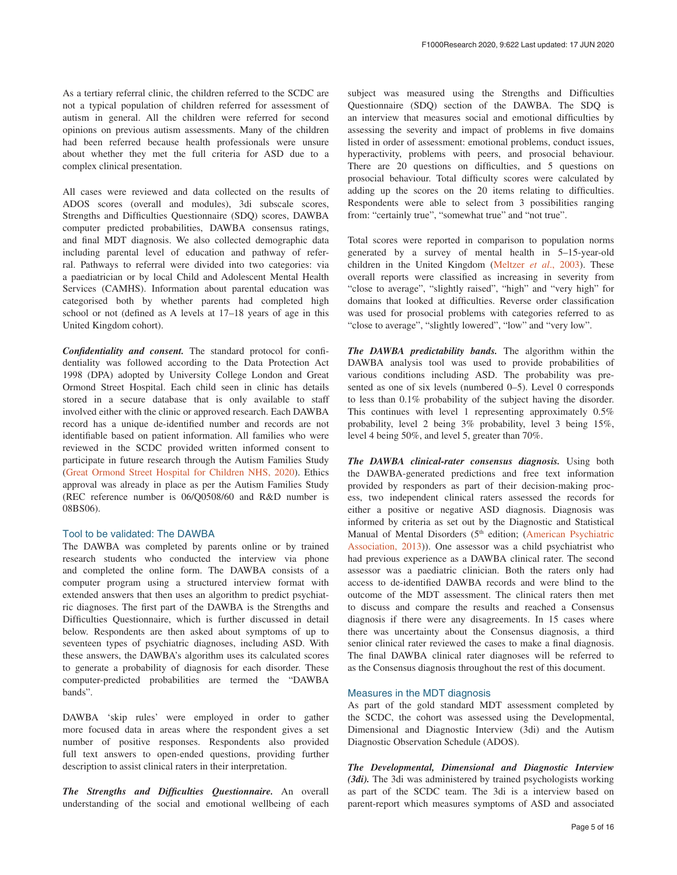As a tertiary referral clinic, the children referred to the SCDC are not a typical population of children referred for assessment of autism in general. All the children were referred for second opinions on previous autism assessments. Many of the children had been referred because health professionals were unsure about whether they met the full criteria for ASD due to a complex clinical presentation.

All cases were reviewed and data collected on the results of ADOS scores (overall and modules), 3di subscale scores, Strengths and Difficulties Questionnaire (SDQ) scores, DAWBA computer predicted probabilities, DAWBA consensus ratings, and final MDT diagnosis. We also collected demographic data including parental level of education and pathway of referral. Pathways to referral were divided into two categories: via a paediatrician or by local Child and Adolescent Mental Health Services (CAMHS). Information about parental education was categorised both by whether parents had completed high school or not (defined as A levels at 17–18 years of age in this United Kingdom cohort).

*Confidentiality and consent.* The standard protocol for confidentiality was followed according to the Data Protection Act 1998 (DPA) adopted by University College London and Great Ormond Street Hospital. Each child seen in clinic has details stored in a secure database that is only available to staff involved either with the clinic or approved research. Each DAWBA record has a unique de-identified number and records are not identifiable based on patient information. All families who were reviewed in the SCDC provided written informed consent to participate in future research through the Autism Families Study ([Great Ormond Street Hospital for Children NHS, 2020](#page-14-0)). Ethics approval was already in place as per the Autism Families Study (REC reference number is 06/Q0508/60 and R&D number is 08BS06).

#### Tool to be validated: The DAWBA

The DAWBA was completed by parents online or by trained research students who conducted the interview via phone and completed the online form. The DAWBA consists of a computer program using a structured interview format with extended answers that then uses an algorithm to predict psychiatric diagnoses. The first part of the DAWBA is the Strengths and Difficulties Questionnaire, which is further discussed in detail below. Respondents are then asked about symptoms of up to seventeen types of psychiatric diagnoses, including ASD. With these answers, the DAWBA's algorithm uses its calculated scores to generate a probability of diagnosis for each disorder. These computer-predicted probabilities are termed the "DAWBA bands".

DAWBA 'skip rules' were employed in order to gather more focused data in areas where the respondent gives a set number of positive responses. Respondents also provided full text answers to open-ended questions, providing further description to assist clinical raters in their interpretation.

*The Strengths and Difficulties Questionnaire.* An overall understanding of the social and emotional wellbeing of each

subject was measured using the Strengths and Difficulties Questionnaire (SDQ) section of the DAWBA. The SDQ is an interview that measures social and emotional difficulties by assessing the severity and impact of problems in five domains listed in order of assessment: emotional problems, conduct issues, hyperactivity, problems with peers, and prosocial behaviour. There are 20 questions on difficulties, and 5 questions on prosocial behaviour. Total difficulty scores were calculated by adding up the scores on the 20 items relating to difficulties. Respondents were able to select from 3 possibilities ranging from: "certainly true", "somewhat true" and "not true".

Total scores were reported in comparison to population norms generated by a survey of mental health in 5–15-year-old children in the United Kingdom ([Meltzer](#page-14-0) *et al*., 2003). These overall reports were classified as increasing in severity from "close to average", "slightly raised", "high" and "very high" for domains that looked at difficulties. Reverse order classification was used for prosocial problems with categories referred to as "close to average", "slightly lowered", "low" and "very low".

*The DAWBA predictability bands.* The algorithm within the DAWBA analysis tool was used to provide probabilities of various conditions including ASD. The probability was presented as one of six levels (numbered 0–5). Level 0 corresponds to less than 0.1% probability of the subject having the disorder. This continues with level 1 representing approximately 0.5% probability, level 2 being 3% probability, level 3 being 15%, level 4 being 50%, and level 5, greater than 70%.

*The DAWBA clinical-rater consensus diagnosis.* Using both the DAWBA-generated predictions and free text information provided by responders as part of their decision-making process, two independent clinical raters assessed the records for either a positive or negative ASD diagnosis. Diagnosis was informed by criteria as set out by the Diagnostic and Statistical Manual of Mental Disorders (5<sup>th</sup> edition; (American Psychiatric [Association, 2013](#page-13-0))). One assessor was a child psychiatrist who had previous experience as a DAWBA clinical rater. The second assessor was a paediatric clinician. Both the raters only had access to de-identified DAWBA records and were blind to the outcome of the MDT assessment. The clinical raters then met to discuss and compare the results and reached a Consensus diagnosis if there were any disagreements. In 15 cases where there was uncertainty about the Consensus diagnosis, a third senior clinical rater reviewed the cases to make a final diagnosis. The final DAWBA clinical rater diagnoses will be referred to as the Consensus diagnosis throughout the rest of this document.

#### Measures in the MDT diagnosis

As part of the gold standard MDT assessment completed by the SCDC, the cohort was assessed using the Developmental, Dimensional and Diagnostic Interview (3di) and the Autism Diagnostic Observation Schedule (ADOS).

*The Developmental, Dimensional and Diagnostic Interview (3di).* The 3di was administered by trained psychologists working as part of the SCDC team. The 3di is a interview based on parent-report which measures symptoms of ASD and associated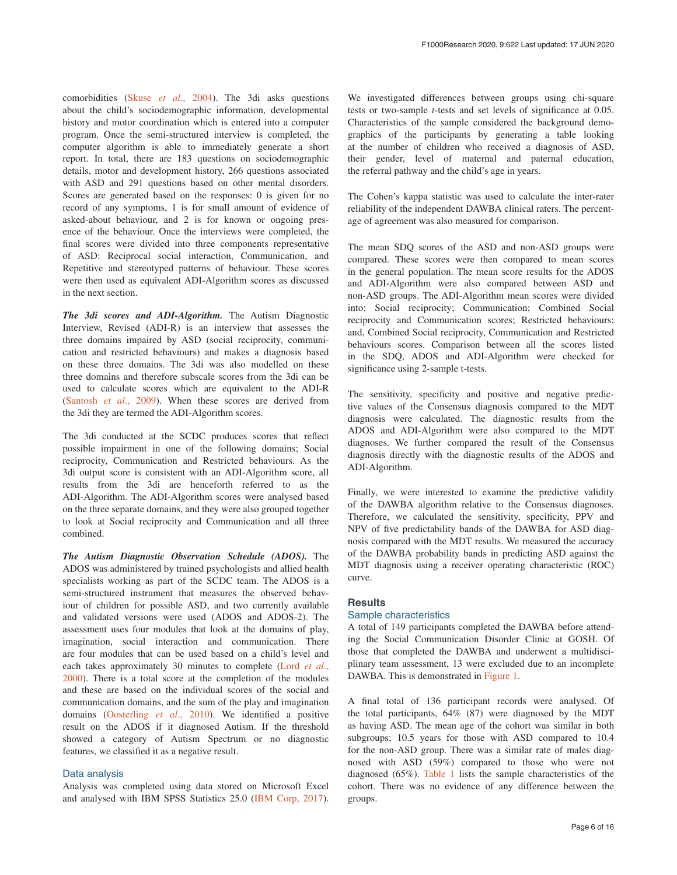comorbidities (Skuse *et al*[., 2004](#page-14-0)). The 3di asks questions about the child's sociodemographic information, developmental history and motor coordination which is entered into a computer program. Once the semi-structured interview is completed, the computer algorithm is able to immediately generate a short report. In total, there are 183 questions on sociodemographic details, motor and development history, 266 questions associated with ASD and 291 questions based on other mental disorders. Scores are generated based on the responses: 0 is given for no record of any symptoms, 1 is for small amount of evidence of asked-about behaviour, and 2 is for known or ongoing presence of the behaviour. Once the interviews were completed, the final scores were divided into three components representative of ASD: Reciprocal social interaction, Communication, and Repetitive and stereotyped patterns of behaviour. These scores were then used as equivalent ADI-Algorithm scores as discussed in the next section.

*The 3di scores and ADI-Algorithm.* The Autism Diagnostic Interview, Revised (ADI-R) is an interview that assesses the three domains impaired by ASD (social reciprocity, communication and restricted behaviours) and makes a diagnosis based on these three domains. The 3di was also modelled on these three domains and therefore subscale scores from the 3di can be used to calculate scores which are equivalent to the ADI-R ([Santosh](#page-14-0) *et al*., 2009). When these scores are derived from the 3di they are termed the ADI-Algorithm scores.

The 3di conducted at the SCDC produces scores that reflect possible impairment in one of the following domains; Social reciprocity, Communication and Restricted behaviours. As the 3di output score is consistent with an ADI-Algorithm score, all results from the 3di are henceforth referred to as the ADI-Algorithm. The ADI-Algorithm scores were analysed based on the three separate domains, and they were also grouped together to look at Social reciprocity and Communication and all three combined.

*The Autism Diagnostic Observation Schedule (ADOS).* The ADOS was administered by trained psychologists and allied health specialists working as part of the SCDC team. The ADOS is a semi-structured instrument that measures the observed behaviour of children for possible ASD, and two currently available and validated versions were used (ADOS and ADOS-2). The assessment uses four modules that look at the domains of play, imagination, social interaction and communication. There are four modules that can be used based on a child's level and each takes approximately 30 minutes to complete ([Lord](#page-14-0) *et al*., [2000\)](#page-14-0). There is a total score at the completion of the modules and these are based on the individual scores of the social and communication domains, and the sum of the play and imagination domains ([Oosterling](#page-14-0) *et al*., 2010). We identified a positive result on the ADOS if it diagnosed Autism. If the threshold showed a category of Autism Spectrum or no diagnostic features, we classified it as a negative result.

## Data analysis

Analysis was completed using data stored on Microsoft Excel and analysed with IBM SPSS Statistics 25.0 [\(IBM Corp, 2017](#page-14-0)). We investigated differences between groups using chi-square tests or two-sample *t*-tests and set levels of significance at 0.05. Characteristics of the sample considered the background demographics of the participants by generating a table looking at the number of children who received a diagnosis of ASD, their gender, level of maternal and paternal education, the referral pathway and the child's age in years.

The Cohen's kappa statistic was used to calculate the inter-rater reliability of the independent DAWBA clinical raters. The percentage of agreement was also measured for comparison.

The mean SDQ scores of the ASD and non-ASD groups were compared. These scores were then compared to mean scores in the general population. The mean score results for the ADOS and ADI-Algorithm were also compared between ASD and non-ASD groups. The ADI-Algorithm mean scores were divided into: Social reciprocity; Communication; Combined Social reciprocity and Communication scores; Restricted behaviours; and, Combined Social reciprocity, Communication and Restricted behaviours scores. Comparison between all the scores listed in the SDQ, ADOS and ADI-Algorithm were checked for significance using 2-sample t-tests.

The sensitivity, specificity and positive and negative predictive values of the Consensus diagnosis compared to the MDT diagnosis were calculated. The diagnostic results from the ADOS and ADI-Algorithm were also compared to the MDT diagnoses. We further compared the result of the Consensus diagnosis directly with the diagnostic results of the ADOS and ADI-Algorithm.

Finally, we were interested to examine the predictive validity of the DAWBA algorithm relative to the Consensus diagnoses. Therefore, we calculated the sensitivity, specificity, PPV and NPV of five predictability bands of the DAWBA for ASD diagnosis compared with the MDT results. We measured the accuracy of the DAWBA probability bands in predicting ASD against the MDT diagnosis using a receiver operating characteristic (ROC) curve.

#### **Results**

#### Sample characteristics

A total of 149 participants completed the DAWBA before attending the Social Communication Disorder Clinic at GOSH. Of those that completed the DAWBA and underwent a multidisciplinary team assessment, 13 were excluded due to an incomplete DAWBA. This is demonstrated in [Figure 1](#page-6-0).

A final total of 136 participant records were analysed. Of the total participants, 64% (87) were diagnosed by the MDT as having ASD. The mean age of the cohort was similar in both subgroups; 10.5 years for those with ASD compared to 10.4 for the non-ASD group. There was a similar rate of males diagnosed with ASD (59%) compared to those who were not diagnosed (65%). [Table 1](#page-6-0) lists the sample characteristics of the cohort. There was no evidence of any difference between the groups.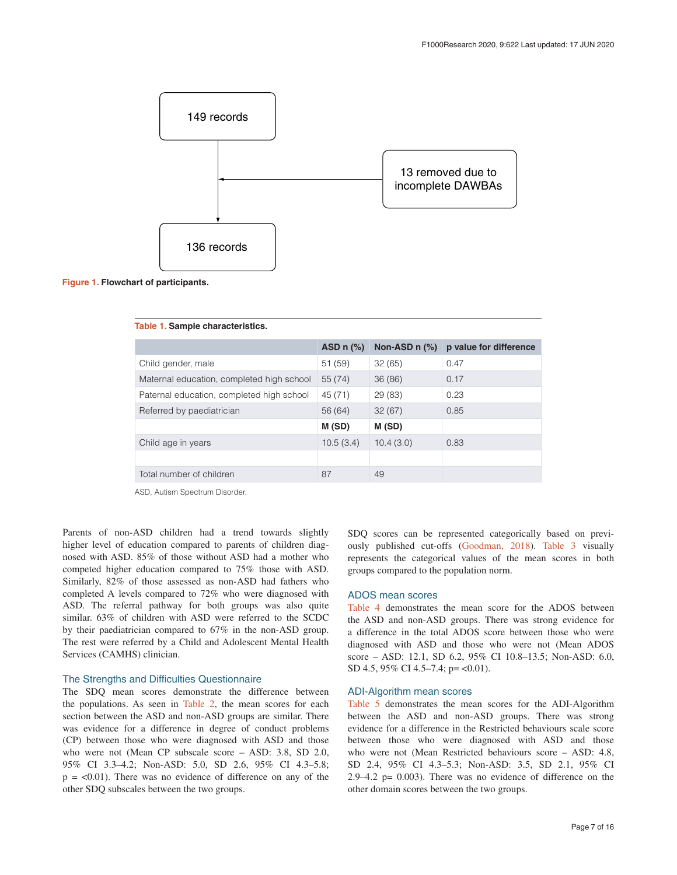<span id="page-6-0"></span>



|                                           | ASD $n$ $%$ | Non-ASD $n$ $(\%)$ | p value for difference |
|-------------------------------------------|-------------|--------------------|------------------------|
| Child gender, male                        | 51(59)      | 32(65)             | 0.47                   |
| Maternal education, completed high school | 55 (74)     | 36(86)             | 0.17                   |
| Paternal education, completed high school | 45 (71)     | 29(83)             | 0.23                   |
| Referred by paediatrician                 | 56 (64)     | 32(67)             | 0.85                   |
|                                           | M(SD)       | M(SD)              |                        |
| Child age in years                        | 10.5(3.4)   | 10.4(3.0)          | 0.83                   |
|                                           |             |                    |                        |
| Total number of children                  | 87          | 49                 |                        |

#### **Table 1. Sample characteristics.**

ASD, Autism Spectrum Disorder.

Parents of non-ASD children had a trend towards slightly higher level of education compared to parents of children diagnosed with ASD. 85% of those without ASD had a mother who competed higher education compared to 75% those with ASD. Similarly, 82% of those assessed as non-ASD had fathers who completed A levels compared to 72% who were diagnosed with ASD. The referral pathway for both groups was also quite similar. 63% of children with ASD were referred to the SCDC by their paediatrician compared to 67% in the non-ASD group. The rest were referred by a Child and Adolescent Mental Health Services (CAMHS) clinician.

#### The Strengths and Difficulties Questionnaire

The SDQ mean scores demonstrate the difference between the populations. As seen in [Table 2](#page-7-0), the mean scores for each section between the ASD and non-ASD groups are similar. There was evidence for a difference in degree of conduct problems (CP) between those who were diagnosed with ASD and those who were not (Mean CP subscale score – ASD: 3.8, SD 2.0, 95% CI 3.3–4.2; Non-ASD: 5.0, SD 2.6, 95% CI 4.3–5.8;  $p = <0.01$ ). There was no evidence of difference on any of the other SDQ subscales between the two groups.

SDQ scores can be represented categorically based on previously published cut-offs ([Goodman, 2018\)](#page-14-0). [Table 3](#page-7-0) visually represents the categorical values of the mean scores in both groups compared to the population norm.

## ADOS mean scores

[Table 4](#page-7-0) demonstrates the mean score for the ADOS between the ASD and non-ASD groups. There was strong evidence for a difference in the total ADOS score between those who were diagnosed with ASD and those who were not (Mean ADOS score – ASD: 12.1, SD 6.2, 95% CI 10.8–13.5; Non-ASD: 6.0, SD 4.5, 95% CI 4.5–7.4; p= < 0.01).

## ADI-Algorithm mean scores

[Table 5](#page-7-0) demonstrates the mean scores for the ADI-Algorithm between the ASD and non-ASD groups. There was strong evidence for a difference in the Restricted behaviours scale score between those who were diagnosed with ASD and those who were not (Mean Restricted behaviours score – ASD: 4.8, SD 2.4, 95% CI 4.3–5.3; Non-ASD: 3.5, SD 2.1, 95% CI 2.9–4.2 p= 0.003). There was no evidence of difference on the other domain scores between the two groups.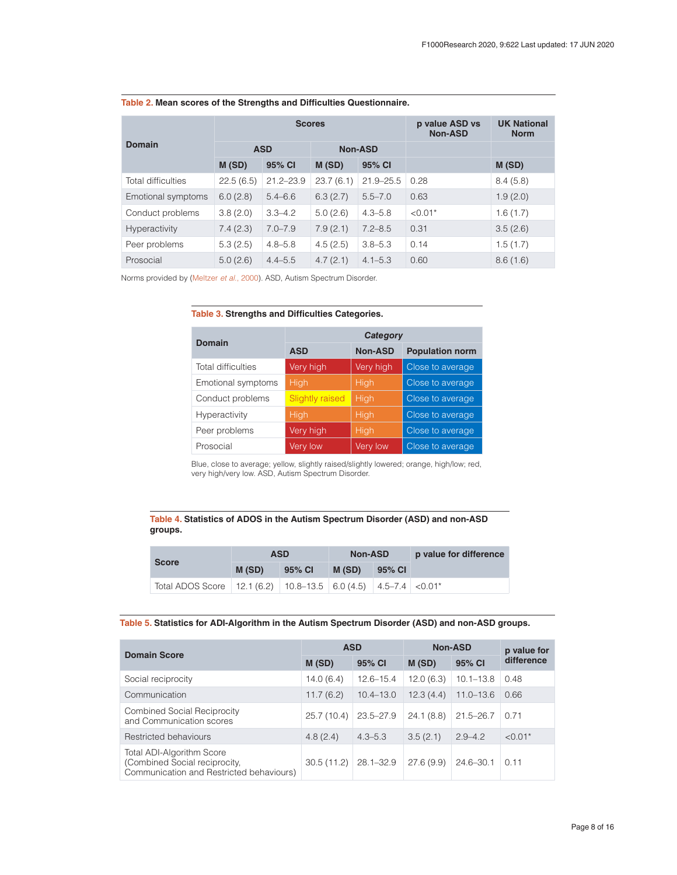|                           |            | <b>Scores</b> |                | p value ASD vs<br><b>Non-ASD</b> | <b>UK National</b><br><b>Norm</b> |          |
|---------------------------|------------|---------------|----------------|----------------------------------|-----------------------------------|----------|
| <b>Domain</b>             | <b>ASD</b> |               | <b>Non-ASD</b> |                                  |                                   |          |
|                           | M(SD)      | 95% CI        | M(SD)          | 95% CI                           |                                   | M(SD)    |
| <b>Total difficulties</b> | 22.5(6.5)  | $21.2 - 23.9$ | 23.7(6.1)      | $21.9 - 25.5$                    | 0.28                              | 8.4(5.8) |
| Emotional symptoms        | 6.0(2.8)   | $5.4 - 6.6$   | 6.3(2.7)       | $5.5 - 7.0$                      | 0.63                              | 1.9(2.0) |
| Conduct problems          | 3.8(2.0)   | $3.3 - 4.2$   | 5.0(2.6)       | $4.3 - 5.8$                      | $< 0.01*$                         | 1.6(1.7) |
| <b>Hyperactivity</b>      | 7.4(2.3)   | $7.0 - 7.9$   | 7.9(2.1)       | $7.2 - 8.5$                      | 0.31                              | 3.5(2.6) |
| Peer problems             | 5.3(2.5)   | $4.8 - 5.8$   | 4.5(2.5)       | $3.8 - 5.3$                      | 0.14                              | 1.5(1.7) |
| Prosocial                 | 5.0(2.6)   | $4.4 - 5.5$   | 4.7(2.1)       | $4.1 - 5.3$                      | 0.60                              | 8.6(1.6) |

#### <span id="page-7-0"></span>**Table 2. Mean scores of the Strengths and Difficulties Questionnaire.**

Norms provided by [\(Meltzer](#page-14-0) *et al*., 2000). ASD, Autism Spectrum Disorder.

# **Table 3. Strengths and Difficulties Categories.**

| <b>Domain</b>      | Category               |                 |                        |  |  |  |  |
|--------------------|------------------------|-----------------|------------------------|--|--|--|--|
|                    | <b>ASD</b>             | <b>Non-ASD</b>  | <b>Population norm</b> |  |  |  |  |
| Total difficulties | Very high              | Very high       | Close to average       |  |  |  |  |
| Emotional symptoms | <b>High</b>            | High            | Close to average       |  |  |  |  |
| Conduct problems   | <b>Slightly raised</b> | High            | Close to average       |  |  |  |  |
| Hyperactivity      | <b>High</b>            | High            | Close to average       |  |  |  |  |
| Peer problems      | Very high              | High            | Close to average       |  |  |  |  |
| Prosocial          | Very low               | <b>Very low</b> | Close to average       |  |  |  |  |

Blue, close to average; yellow, slightly raised/slightly lowered; orange, high/low; red, very high/very low. ASD, Autism Spectrum Disorder.

## **Table 4. Statistics of ADOS in the Autism Spectrum Disorder (ASD) and non-ASD groups.**

|                                                                                      |       | ASD    | <b>Non-ASD</b> |        | p value for difference |
|--------------------------------------------------------------------------------------|-------|--------|----------------|--------|------------------------|
| <b>Score</b>                                                                         | M(SD) | 95% CI | M (SD)         | 95% CI |                        |
| Total ADOS Score   12.1 (6.2)   10.8–13.5   6.0 (4.5)   4.5–7.4   <0.01 <sup>*</sup> |       |        |                |        |                        |

# **Table 5. Statistics for ADI-Algorithm in the Autism Spectrum Disorder (ASD) and non-ASD groups.**

| <b>Domain Score</b>                                                                                           | <b>ASD</b> |               | <b>Non-ASD</b> | p value for   |            |
|---------------------------------------------------------------------------------------------------------------|------------|---------------|----------------|---------------|------------|
|                                                                                                               | M(SD)      | 95% CI        | M(SD)          | 95% CI        | difference |
| Social reciprocity                                                                                            | 14.0(6.4)  | $12.6 - 15.4$ | 12.0(6.3)      | $10.1 - 13.8$ | 0.48       |
| Communication                                                                                                 | 11.7(6.2)  | $10.4 - 13.0$ | 12.3(4.4)      | $11.0 - 13.6$ | 0.66       |
| <b>Combined Social Reciprocity</b><br>and Communication scores                                                | 25.7(10.4) | $23.5 - 27.9$ | 24.1(8.8)      | $21.5 - 26.7$ | 0.71       |
| Restricted behaviours                                                                                         | 4.8(2.4)   | $4.3 - 5.3$   | 3.5(2.1)       | $2.9 - 4.2$   | $< 0.01*$  |
| <b>Total ADI-Algorithm Score</b><br>(Combined Social reciprocity,<br>Communication and Restricted behaviours) | 30.5(11.2) | $28.1 - 32.9$ | 27.6(9.9)      | $24.6 - 30.1$ | 0.11       |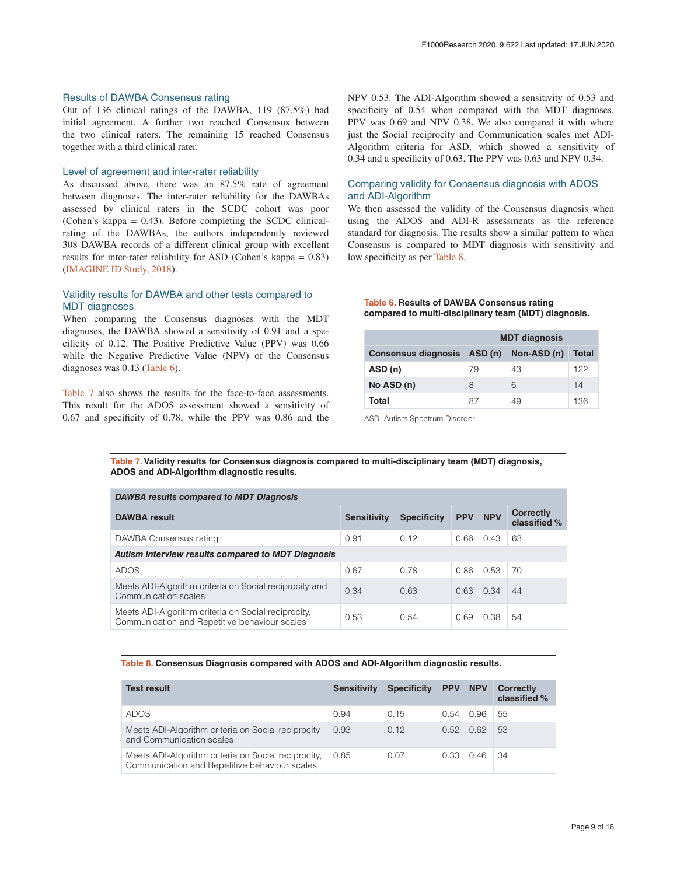#### Results of DAWBA Consensus rating

Out of 136 clinical ratings of the DAWBA, 119 (87.5%) had initial agreement. A further two reached Consensus between the two clinical raters. The remaining 15 reached Consensus together with a third clinical rater.

#### Level of agreement and inter-rater reliability

As discussed above, there was an 87.5% rate of agreement between diagnoses. The inter-rater reliability for the DAWBAs assessed by clinical raters in the SCDC cohort was poor (Cohen's kappa = 0.43). Before completing the SCDC clinicalrating of the DAWBAs, the authors independently reviewed 308 DAWBA records of a different clinical group with excellent results for inter-rater reliability for ASD (Cohen's kappa = 0.83) ([IMAGINE ID Study, 2018](#page-14-0)).

## Validity results for DAWBA and other tests compared to MDT diagnoses

When comparing the Consensus diagnoses with the MDT diagnoses, the DAWBA showed a sensitivity of 0.91 and a specificity of 0.12. The Positive Predictive Value (PPV) was 0.66 while the Negative Predictive Value (NPV) of the Consensus diagnoses was 0.43 (Table 6).

Table 7 also shows the results for the face-to-face assessments. This result for the ADOS assessment showed a sensitivity of 0.67 and specificity of 0.78, while the PPV was 0.86 and the

NPV 0.53. The ADI-Algorithm showed a sensitivity of 0.53 and specificity of 0.54 when compared with the MDT diagnoses. PPV was 0.69 and NPV 0.38. We also compared it with where just the Social reciprocity and Communication scales met ADI-Algorithm criteria for ASD, which showed a sensitivity of 0.34 and a specificity of 0.63. The PPV was 0.63 and NPV 0.34.

## Comparing validity for Consensus diagnosis with ADOS and ADI-Algorithm

We then assessed the validity of the Consensus diagnosis when using the ADOS and ADI-R assessments as the reference standard for diagnosis. The results show a similar pattern to when Consensus is compared to MDT diagnosis with sensitivity and low specificity as per Table 8.

**Table 6. Results of DAWBA Consensus rating compared to multi-disciplinary team (MDT) diagnosis.**

|                             | <b>MDT diagnosis</b> |             |       |  |  |  |
|-----------------------------|----------------------|-------------|-------|--|--|--|
| Consensus diagnosis ASD (n) |                      | Non-ASD (n) | Total |  |  |  |
| ASD (n)                     | 79                   | 43          | 122   |  |  |  |
| No ASD (n)                  | 8                    | 6           | 14    |  |  |  |
| Total                       | 87                   | 49          | 136   |  |  |  |

ASD, Autism Spectrum Disorder.

**Table 7. Validity results for Consensus diagnosis compared to multi-disciplinary team (MDT) diagnosis, ADOS and ADI-Algorithm diagnostic results.**

| <b>DAWBA results compared to MDT Diagnosis</b>                                                       |                    |                    |            |            |                                  |  |  |  |  |
|------------------------------------------------------------------------------------------------------|--------------------|--------------------|------------|------------|----------------------------------|--|--|--|--|
| <b>DAWBA</b> result                                                                                  | <b>Sensitivity</b> | <b>Specificity</b> | <b>PPV</b> | <b>NPV</b> | <b>Correctly</b><br>classified % |  |  |  |  |
| DAWBA Consensus rating                                                                               | 0.91               | 0.12               | 0.66       | 0.43       | 63                               |  |  |  |  |
| Autism interview results compared to MDT Diagnosis                                                   |                    |                    |            |            |                                  |  |  |  |  |
| <b>ADOS</b>                                                                                          | 0.67               | 0.78               | 0.86       | 0.53       | 70                               |  |  |  |  |
| Meets ADI-Algorithm criteria on Social reciprocity and<br>Communication scales                       | 0.34               | 0.63               | 0.63       | 0.34       | 44                               |  |  |  |  |
| Meets ADI-Algorithm criteria on Social reciprocity,<br>Communication and Repetitive behaviour scales | 0.53               | 0.54               | 0.69       | 0.38       | 54                               |  |  |  |  |

## **Table 8. Consensus Diagnosis compared with ADOS and ADI-Algorithm diagnostic results.**

| <b>Test result</b>                                                                                   | <b>Sensitivity</b> | <b>Specificity</b> | <b>PPV</b> | <b>NPV</b> | <b>Correctly</b><br>classified % |
|------------------------------------------------------------------------------------------------------|--------------------|--------------------|------------|------------|----------------------------------|
| <b>ADOS</b>                                                                                          | 0.94               | 0.15               | 0.54       | 0.96       | 55                               |
| Meets ADI-Algorithm criteria on Social reciprocity<br>and Communication scales                       | 0.93               | 0.12               | O 52       | 062        | 53                               |
| Meets ADI-Algorithm criteria on Social reciprocity,<br>Communication and Repetitive behaviour scales | 0.85               | 0.07               | 0.33       | 0.46       | 34                               |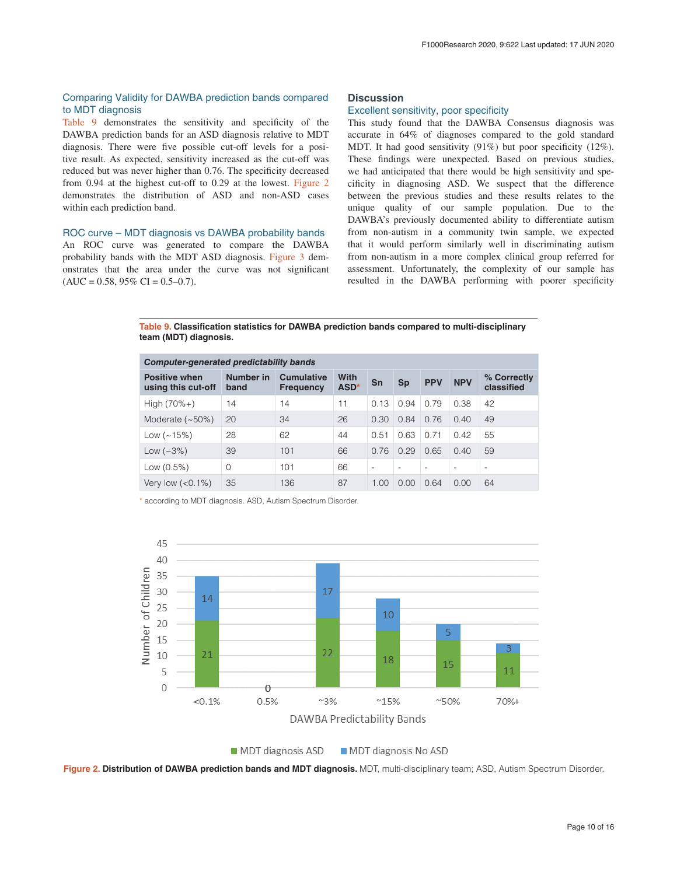# Comparing Validity for DAWBA prediction bands compared to MDT diagnosis

Table 9 demonstrates the sensitivity and specificity of the DAWBA prediction bands for an ASD diagnosis relative to MDT diagnosis. There were five possible cut-off levels for a positive result. As expected, sensitivity increased as the cut-off was reduced but was never higher than 0.76. The specificity decreased from 0.94 at the highest cut-off to 0.29 at the lowest. Figure 2 demonstrates the distribution of ASD and non-ASD cases within each prediction band.

#### ROC curve – MDT diagnosis vs DAWBA probability bands

An ROC curve was generated to compare the DAWBA probability bands with the MDT ASD diagnosis. [Figure 3](#page-10-0) demonstrates that the area under the curve was not significant  $(AUC = 0.58, 95\% CI = 0.5-0.7).$ 

# **Discussion**

## Excellent sensitivity, poor specificity

This study found that the DAWBA Consensus diagnosis was accurate in 64% of diagnoses compared to the gold standard MDT. It had good sensitivity (91%) but poor specificity (12%). These findings were unexpected. Based on previous studies, we had anticipated that there would be high sensitivity and specificity in diagnosing ASD. We suspect that the difference between the previous studies and these results relates to the unique quality of our sample population. Due to the DAWBA's previously documented ability to differentiate autism from non-autism in a community twin sample, we expected that it would perform similarly well in discriminating autism from non-autism in a more complex clinical group referred for assessment. Unfortunately, the complexity of our sample has resulted in the DAWBA performing with poorer specificity

**Table 9. Classification statistics for DAWBA prediction bands compared to multi-disciplinary team (MDT) diagnosis.**

| Computer-generated predictability bands    |                   |                                       |                          |                          |                          |                          |                          |                           |
|--------------------------------------------|-------------------|---------------------------------------|--------------------------|--------------------------|--------------------------|--------------------------|--------------------------|---------------------------|
| <b>Positive when</b><br>using this cut-off | Number in<br>band | <b>Cumulative</b><br><b>Frequency</b> | With<br>ASD <sup>*</sup> | Sn                       | Sp                       | <b>PPV</b>               | <b>NPV</b>               | % Correctly<br>classified |
| $High (70% +)$                             | 14                | 14                                    | 11                       | 0.13                     | 0.94                     | 0.79                     | 0.38                     | 42                        |
| Moderate $(-50%)$                          | 20                | 34                                    | 26                       | 0.30                     | 0.84                     | 0.76                     | 0.40                     | 49                        |
| Low $(-15%)$                               | 28                | 62                                    | 44                       | 0.51                     | 0.63                     | 0.71                     | 0.42                     | 55                        |
| Low $(-3%)$                                | 39                | 101                                   | 66                       | 0.76                     | 0.29                     | 0.65                     | 0.40                     | 59                        |
| Low $(0.5%)$                               | $\Omega$          | 101                                   | 66                       | $\overline{\phantom{a}}$ | $\overline{\phantom{a}}$ | $\overline{\phantom{a}}$ | $\overline{\phantom{a}}$ | $\overline{\phantom{a}}$  |
| Very low $(< 0.1\%)$                       | 35                | 136                                   | 87                       | 1.00                     | 0.00                     | 0.64                     | 0.00                     | 64                        |

\* according to MDT diagnosis. ASD, Autism Spectrum Disorder.



MDT diagnosis ASD MDT diagnosis No ASD

**Figure 2. Distribution of DAWBA prediction bands and MDT diagnosis.** MDT, multi-disciplinary team; ASD, Autism Spectrum Disorder.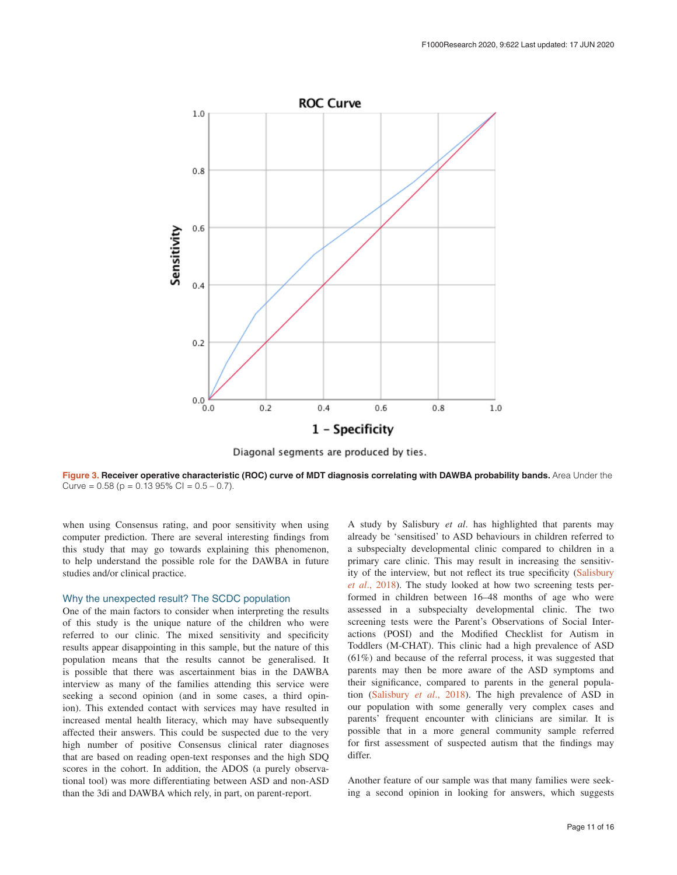<span id="page-10-0"></span>

Diagonal segments are produced by ties.

Figure 3. Receiver operative characteristic (ROC) curve of MDT diagnosis correlating with DAWBA probability bands. Area Under the Curve =  $0.58$  (p =  $0.13$  95% Cl =  $0.5 - 0.7$ ).

when using Consensus rating, and poor sensitivity when using computer prediction. There are several interesting findings from this study that may go towards explaining this phenomenon, to help understand the possible role for the DAWBA in future studies and/or clinical practice.

## Why the unexpected result? The SCDC population

One of the main factors to consider when interpreting the results of this study is the unique nature of the children who were referred to our clinic. The mixed sensitivity and specificity results appear disappointing in this sample, but the nature of this population means that the results cannot be generalised. It is possible that there was ascertainment bias in the DAWBA interview as many of the families attending this service were seeking a second opinion (and in some cases, a third opinion). This extended contact with services may have resulted in increased mental health literacy, which may have subsequently affected their answers. This could be suspected due to the very high number of positive Consensus clinical rater diagnoses that are based on reading open-text responses and the high SDQ scores in the cohort. In addition, the ADOS (a purely observational tool) was more differentiating between ASD and non-ASD than the 3di and DAWBA which rely, in part, on parent-report.

A study by Salisbury *et al*. has highlighted that parents may already be 'sensitised' to ASD behaviours in children referred to a subspecialty developmental clinic compared to children in a primary care clinic. This may result in increasing the sensitivity of the interview, but not reflect its true specificity ([Salisbury](#page-14-0) *et al*[., 2018](#page-14-0)). The study looked at how two screening tests performed in children between 16–48 months of age who were assessed in a subspecialty developmental clinic. The two screening tests were the Parent's Observations of Social Interactions (POSI) and the Modified Checklist for Autism in Toddlers (M-CHAT). This clinic had a high prevalence of ASD (61%) and because of the referral process, it was suggested that parents may then be more aware of the ASD symptoms and their significance, compared to parents in the general population [\(Salisbury](#page-14-0) *et al*., 2018). The high prevalence of ASD in our population with some generally very complex cases and parents' frequent encounter with clinicians are similar. It is possible that in a more general community sample referred for first assessment of suspected autism that the findings may differ.

Another feature of our sample was that many families were seeking a second opinion in looking for answers, which suggests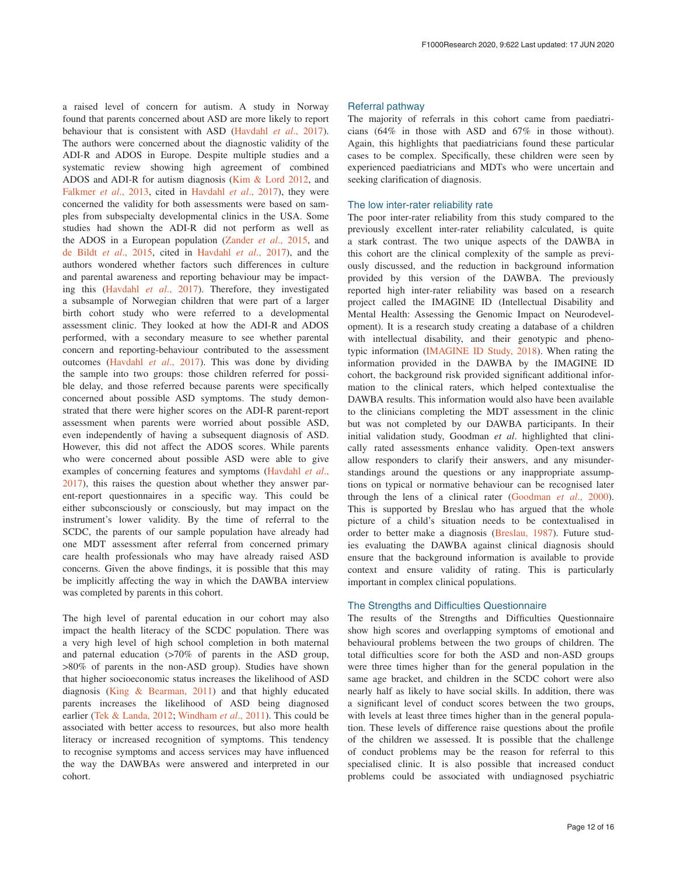a raised level of concern for autism. A study in Norway found that parents concerned about ASD are more likely to report behaviour that is consistent with ASD [\(Havdahl](#page-14-0) *et al*., 2017). The authors were concerned about the diagnostic validity of the ADI-R and ADOS in Europe. Despite multiple studies and a systematic review showing high agreement of combined ADOS and ADI-R for autism diagnosis [\(Kim & Lord 2012](#page-14-0), and [Falkmer](#page-13-0) *et al*., 2013, cited in [Havdahl](#page-14-0) *et al*., 2017), they were concerned the validity for both assessments were based on samples from subspecialty developmental clinics in the USA. Some studies had shown the ADI-R did not perform as well as the ADOS in a European population [\(Zander](#page-14-0) *et al*., 2015, and [de Bildt](#page-13-0) *et al*., 2015, cited in [Havdahl](#page-14-0) *et al*., 2017), and the authors wondered whether factors such differences in culture and parental awareness and reporting behaviour may be impacting this ([Havdahl](#page-14-0) *et al*., 2017). Therefore, they investigated a subsample of Norwegian children that were part of a larger birth cohort study who were referred to a developmental assessment clinic. They looked at how the ADI-R and ADOS performed, with a secondary measure to see whether parental concern and reporting-behaviour contributed to the assessment outcomes [\(Havdahl](#page-14-0) *et al*., 2017). This was done by dividing the sample into two groups: those children referred for possible delay, and those referred because parents were specifically concerned about possible ASD symptoms. The study demonstrated that there were higher scores on the ADI-R parent-report assessment when parents were worried about possible ASD, even independently of having a subsequent diagnosis of ASD. However, this did not affect the ADOS scores. While parents who were concerned about possible ASD were able to give examples of concerning features and symptoms ([Havdahl](#page-14-0) *et al*., [2017\)](#page-14-0), this raises the question about whether they answer parent-report questionnaires in a specific way. This could be either subconsciously or consciously, but may impact on the instrument's lower validity. By the time of referral to the SCDC, the parents of our sample population have already had one MDT assessment after referral from concerned primary care health professionals who may have already raised ASD concerns. Given the above findings, it is possible that this may be implicitly affecting the way in which the DAWBA interview was completed by parents in this cohort.

The high level of parental education in our cohort may also impact the health literacy of the SCDC population. There was a very high level of high school completion in both maternal and paternal education (>70% of parents in the ASD group, >80% of parents in the non-ASD group). Studies have shown that higher socioeconomic status increases the likelihood of ASD diagnosis ([King & Bearman, 2011](#page-14-0)) and that highly educated parents increases the likelihood of ASD being diagnosed earlier [\(Tek & Landa, 2012](#page-14-0); [Windham](#page-14-0) *et al*., 2011). This could be associated with better access to resources, but also more health literacy or increased recognition of symptoms. This tendency to recognise symptoms and access services may have influenced the way the DAWBAs were answered and interpreted in our cohort.

#### Referral pathway

The majority of referrals in this cohort came from paediatricians (64% in those with ASD and 67% in those without). Again, this highlights that paediatricians found these particular cases to be complex. Specifically, these children were seen by experienced paediatricians and MDTs who were uncertain and seeking clarification of diagnosis.

#### The low inter-rater reliability rate

The poor inter-rater reliability from this study compared to the previously excellent inter-rater reliability calculated, is quite a stark contrast. The two unique aspects of the DAWBA in this cohort are the clinical complexity of the sample as previously discussed, and the reduction in background information provided by this version of the DAWBA. The previously reported high inter-rater reliability was based on a research project called the IMAGINE ID (Intellectual Disability and Mental Health: Assessing the Genomic Impact on Neurodevelopment). It is a research study creating a database of a children with intellectual disability, and their genotypic and phenotypic information ([IMAGINE ID Study, 2018\)](#page-14-0). When rating the information provided in the DAWBA by the IMAGINE ID cohort, the background risk provided significant additional information to the clinical raters, which helped contextualise the DAWBA results. This information would also have been available to the clinicians completing the MDT assessment in the clinic but was not completed by our DAWBA participants. In their initial validation study, Goodman *et al*. highlighted that clinically rated assessments enhance validity. Open-text answers allow responders to clarify their answers, and any misunderstandings around the questions or any inappropriate assumptions on typical or normative behaviour can be recognised later through the lens of a clinical rater ([Goodman](#page-14-0) *et al*., 2000). This is supported by Breslau who has argued that the whole picture of a child's situation needs to be contextualised in order to better make a diagnosis ([Breslau, 1987](#page-13-0)). Future studies evaluating the DAWBA against clinical diagnosis should ensure that the background information is available to provide context and ensure validity of rating. This is particularly important in complex clinical populations.

#### The Strengths and Difficulties Questionnaire

The results of the Strengths and Difficulties Questionnaire show high scores and overlapping symptoms of emotional and behavioural problems between the two groups of children. The total difficulties score for both the ASD and non-ASD groups were three times higher than for the general population in the same age bracket, and children in the SCDC cohort were also nearly half as likely to have social skills. In addition, there was a significant level of conduct scores between the two groups, with levels at least three times higher than in the general population. These levels of difference raise questions about the profile of the children we assessed. It is possible that the challenge of conduct problems may be the reason for referral to this specialised clinic. It is also possible that increased conduct problems could be associated with undiagnosed psychiatric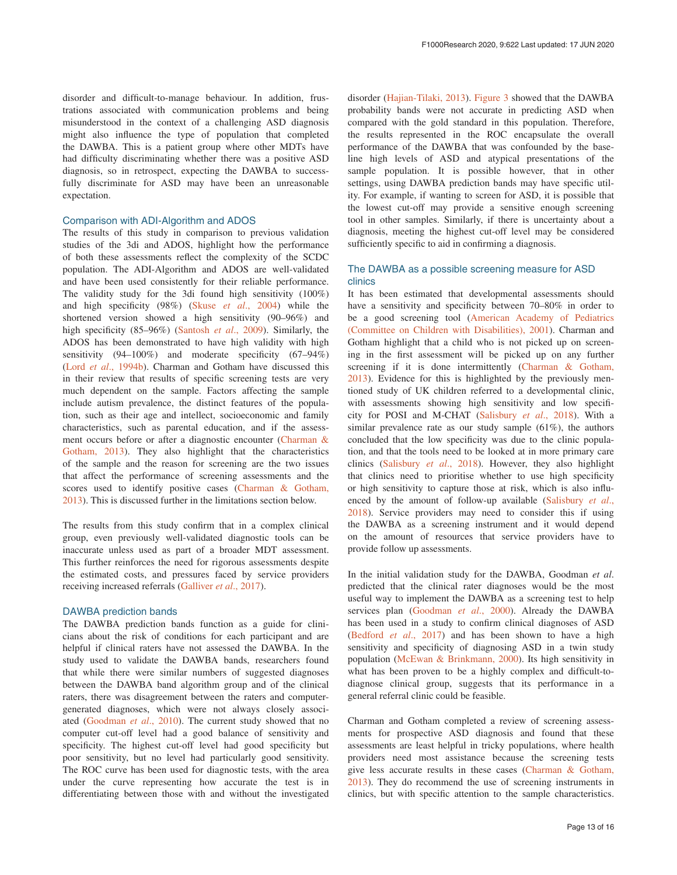disorder and difficult-to-manage behaviour. In addition, frustrations associated with communication problems and being misunderstood in the context of a challenging ASD diagnosis might also influence the type of population that completed the DAWBA. This is a patient group where other MDTs have had difficulty discriminating whether there was a positive ASD diagnosis, so in retrospect, expecting the DAWBA to successfully discriminate for ASD may have been an unreasonable expectation.

#### Comparison with ADI-Algorithm and ADOS

The results of this study in comparison to previous validation studies of the 3di and ADOS, highlight how the performance of both these assessments reflect the complexity of the SCDC population. The ADI-Algorithm and ADOS are well-validated and have been used consistently for their reliable performance. The validity study for the 3di found high sensitivity (100%) and high specificity (98%) (Skuse *et al*[., 2004\)](#page-14-0) while the shortened version showed a high sensitivity (90–96%) and high specificity (85–96%) [\(Santosh](#page-14-0) *et al*., 2009). Similarly, the ADOS has been demonstrated to have high validity with high sensitivity (94–100%) and moderate specificity (67–94%) (Lord *et al*[., 1994b\)](#page-14-0). Charman and Gotham have discussed this in their review that results of specific screening tests are very much dependent on the sample. Factors affecting the sample include autism prevalence, the distinct features of the population, such as their age and intellect, socioeconomic and family characteristics, such as parental education, and if the assessment occurs before or after a diagnostic encounter ([Charman &](#page-13-0) [Gotham, 2013](#page-13-0)). They also highlight that the characteristics of the sample and the reason for screening are the two issues that affect the performance of screening assessments and the scores used to identify positive cases ([Charman & Gotham,](#page-13-0) [2013\)](#page-13-0). This is discussed further in the limitations section below.

The results from this study confirm that in a complex clinical group, even previously well-validated diagnostic tools can be inaccurate unless used as part of a broader MDT assessment. This further reinforces the need for rigorous assessments despite the estimated costs, and pressures faced by service providers receiving increased referrals ([Galliver](#page-14-0) *et al*., 2017).

#### DAWBA prediction bands

The DAWBA prediction bands function as a guide for clinicians about the risk of conditions for each participant and are helpful if clinical raters have not assessed the DAWBA. In the study used to validate the DAWBA bands, researchers found that while there were similar numbers of suggested diagnoses between the DAWBA band algorithm group and of the clinical raters, there was disagreement between the raters and computergenerated diagnoses, which were not always closely associated [\(Goodman](#page-14-0) *et al*., 2010). The current study showed that no computer cut-off level had a good balance of sensitivity and specificity. The highest cut-off level had good specificity but poor sensitivity, but no level had particularly good sensitivity. The ROC curve has been used for diagnostic tests, with the area under the curve representing how accurate the test is in differentiating between those with and without the investigated

disorder ([Hajian-Tilaki, 2013](#page-14-0)). [Figure 3](#page-10-0) showed that the DAWBA probability bands were not accurate in predicting ASD when compared with the gold standard in this population. Therefore, the results represented in the ROC encapsulate the overall performance of the DAWBA that was confounded by the baseline high levels of ASD and atypical presentations of the sample population. It is possible however, that in other settings, using DAWBA prediction bands may have specific utility. For example, if wanting to screen for ASD, it is possible that the lowest cut-off may provide a sensitive enough screening tool in other samples. Similarly, if there is uncertainty about a diagnosis, meeting the highest cut-off level may be considered sufficiently specific to aid in confirming a diagnosis.

## The DAWBA as a possible screening measure for ASD clinics

It has been estimated that developmental assessments should have a sensitivity and specificity between 70–80% in order to be a good screening tool ([American Academy of Pediatrics](#page-13-0) [\(Committee on Children with Disabilities\), 2001\)](#page-13-0). Charman and Gotham highlight that a child who is not picked up on screening in the first assessment will be picked up on any further screening if it is done intermittently [\(Charman & Gotham,](#page-13-0) [2013\)](#page-13-0). Evidence for this is highlighted by the previously mentioned study of UK children referred to a developmental clinic, with assessments showing high sensitivity and low specificity for POSI and M-CHAT ([Salisbury](#page-14-0) *et al*., 2018). With a similar prevalence rate as our study sample (61%), the authors concluded that the low specificity was due to the clinic population, and that the tools need to be looked at in more primary care clinics [\(Salisbury](#page-14-0) *et al*., 2018). However, they also highlight that clinics need to prioritise whether to use high specificity or high sensitivity to capture those at risk, which is also influenced by the amount of follow-up available [\(Salisbury](#page-14-0) *et al*., [2018\)](#page-14-0). Service providers may need to consider this if using the DAWBA as a screening instrument and it would depend on the amount of resources that service providers have to provide follow up assessments.

In the initial validation study for the DAWBA, Goodman *et al*. predicted that the clinical rater diagnoses would be the most useful way to implement the DAWBA as a screening test to help services plan [\(Goodman](#page-14-0) *et al*., 2000). Already the DAWBA has been used in a study to confirm clinical diagnoses of ASD ([Bedford](#page-13-0) *et al*., 2017) and has been shown to have a high sensitivity and specificity of diagnosing ASD in a twin study population [\(McEwan & Brinkmann, 2000\)](#page-14-0). Its high sensitivity in what has been proven to be a highly complex and difficult-todiagnose clinical group, suggests that its performance in a general referral clinic could be feasible.

Charman and Gotham completed a review of screening assessments for prospective ASD diagnosis and found that these assessments are least helpful in tricky populations, where health providers need most assistance because the screening tests give less accurate results in these cases [\(Charman & Gotham,](#page-13-0) [2013\)](#page-13-0). They do recommend the use of screening instruments in clinics, but with specific attention to the sample characteristics.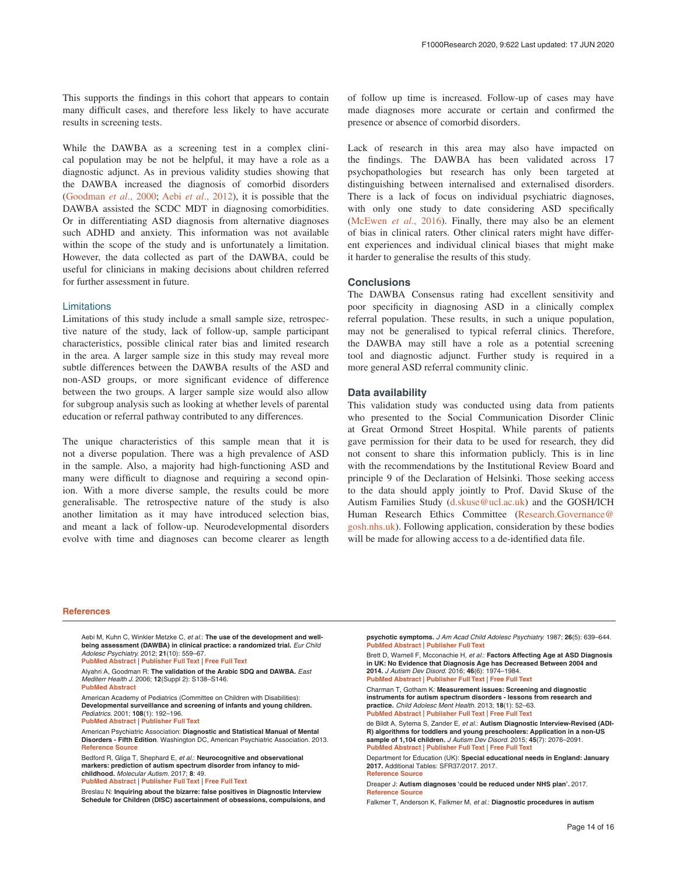<span id="page-13-0"></span>This supports the findings in this cohort that appears to contain many difficult cases, and therefore less likely to have accurate results in screening tests.

While the DAWBA as a screening test in a complex clinical population may be not be helpful, it may have a role as a diagnostic adjunct. As in previous validity studies showing that the DAWBA increased the diagnosis of comorbid disorders ([Goodman](#page-14-0) *et al*., 2000; Aebi *et al*., 2012), it is possible that the DAWBA assisted the SCDC MDT in diagnosing comorbidities. Or in differentiating ASD diagnosis from alternative diagnoses such ADHD and anxiety. This information was not available within the scope of the study and is unfortunately a limitation. However, the data collected as part of the DAWBA, could be useful for clinicians in making decisions about children referred for further assessment in future.

#### Limitations

Limitations of this study include a small sample size, retrospective nature of the study, lack of follow-up, sample participant characteristics, possible clinical rater bias and limited research in the area. A larger sample size in this study may reveal more subtle differences between the DAWBA results of the ASD and non-ASD groups, or more significant evidence of difference between the two groups. A larger sample size would also allow for subgroup analysis such as looking at whether levels of parental education or referral pathway contributed to any differences.

The unique characteristics of this sample mean that it is not a diverse population. There was a high prevalence of ASD in the sample. Also, a majority had high-functioning ASD and many were difficult to diagnose and requiring a second opinion. With a more diverse sample, the results could be more generalisable. The retrospective nature of the study is also another limitation as it may have introduced selection bias, and meant a lack of follow-up. Neurodevelopmental disorders evolve with time and diagnoses can become clearer as length of follow up time is increased. Follow-up of cases may have made diagnoses more accurate or certain and confirmed the presence or absence of comorbid disorders.

Lack of research in this area may also have impacted on the findings. The DAWBA has been validated across 17 psychopathologies but research has only been targeted at distinguishing between internalised and externalised disorders. There is a lack of focus on individual psychiatric diagnoses, with only one study to date considering ASD specifically ([McEwen](#page-14-0) *et al*., 2016). Finally, there may also be an element of bias in clinical raters. Other clinical raters might have different experiences and individual clinical biases that might make it harder to generalise the results of this study.

#### **Conclusions**

The DAWBA Consensus rating had excellent sensitivity and poor specificity in diagnosing ASD in a clinically complex referral population. These results, in such a unique population, may not be generalised to typical referral clinics. Therefore, the DAWBA may still have a role as a potential screening tool and diagnostic adjunct. Further study is required in a more general ASD referral community clinic.

#### **Data availability**

This validation study was conducted using data from patients who presented to the Social Communication Disorder Clinic at Great Ormond Street Hospital. While parents of patients gave permission for their data to be used for research, they did not consent to share this information publicly. This is in line with the recommendations by the Institutional Review Board and principle 9 of the Declaration of Helsinki. Those seeking access to the data should apply jointly to Prof. David Skuse of the Autism Families Study [\(d.skuse@ucl.ac.uk\)](mailto:d.skuse@ucl.ac.uk) and the GOSH/ICH Human Research Ethics Committee ([Research.Governance@](mailto:Research.Governance@gosh.nhs.uk) [gosh.nhs.uk\)](mailto:Research.Governance@gosh.nhs.uk). Following application, consideration by these bodies will be made for allowing access to a de-identified data file.

#### **References**

Aebi M, Kuhn C, Winkler Metzke C, *et al.*: **The use of the development and wellbeing assessment (DAWBA) in clinical practice: a randomized trial.** *Eur Child Adolesc Psychiatry.* 2012; **21**(10): 559–67. **[PubMed Abstract](http://www.ncbi.nlm.nih.gov/pubmed/22722664)** | **[Publisher Full Text](http://dx.doi.org/10.1007/s00787-012-0293-6)** | **[Free Full Text](http://www.ncbi.nlm.nih.gov/pmc/articles/3866649)**

Alyahri A, Goodman R: **The validation of the Arabic SDQ and DAWBA.** *East Mediterr Health J.* 2006; **12**(Suppl 2): S138–S146.

**[PubMed Abstract](http://www.ncbi.nlm.nih.gov/pubmed/17361685)**

American Academy of Pediatrics (Committee on Children with Disabilities): **Developmental surveillance and screening of infants and young children.** *Pediatrics.* 2001; **108**(1): 192–196.

**[PubMed Abstract](http://www.ncbi.nlm.nih.gov/pubmed/11433077)** | **[Publisher Full Text](http://dx.doi.org/10.1542/peds.108.1.192)**

American Psychiatric Association: **Diagnostic and Statistical Manual of Mental Disorders - Fifth Edition**. Washington DC, American Psychiatric Association. 2013. **[Reference Source](https://www.appi.org/diagnostic_and_statistical_manual_of_mental_disorders_dsm-5_fifth_edition)**

Bedford R, Gliga T, Shephard E, *et al.*: **Neurocognitive and observational markers: prediction of autism spectrum disorder from infancy to mid-childhood.** *Molecular Autism.* 2017; **8**: 49. **[PubMed Abstract](http://www.ncbi.nlm.nih.gov/pubmed/29018511)** | **[Publisher Full Text](http://dx.doi.org/10.1186/s13229-017-0167-3)** | **[Free Full Text](http://www.ncbi.nlm.nih.gov/pmc/articles/5610446)**

Breslau N: **Inquiring about the bizarre: false positives in Diagnostic Interview Schedule for Children (DISC) ascertainment of obsessions, compulsions, and**  **psychotic symptoms.** *J Am Acad Child Adolesc Psychiatry.* 1987; **26**(5): 639–644. **[PubMed Abstract](http://www.ncbi.nlm.nih.gov/pubmed/3667492)** | **[Publisher Full Text](http://dx.doi.org/10.1097/00004583-198709000-00005)**

Brett D, Warnell F, Mcconachie H, *et al.*: **Factors Affecting Age at ASD Diagnosis in UK: No Evidence that Diagnosis Age has Decreased Between 2004 and 2014.** *J Autism Dev Disord.* 2016; **46**(6): 1974–1984.

**[PubMed Abstract](http://www.ncbi.nlm.nih.gov/pubmed/27032954)** | **[Publisher Full Text](http://dx.doi.org/10.1007/s10803-016-2716-6)** | **[Free Full Text](http://www.ncbi.nlm.nih.gov/pmc/articles/4860193)**

Charman T, Gotham K: **Measurement issues: Screening and diagnostic instruments for autism spectrum disorders - lessons from research and practice.** *Child Adolesc Ment Health.* 2013; **18**(1): 52–63. **[PubMed Abstract](http://www.ncbi.nlm.nih.gov/pubmed/23539140)** | **[Publisher Full Text](http://dx.doi.org/10.1111/j.1475-3588.2012.00664.x)** | **[Free Full Text](http://www.ncbi.nlm.nih.gov/pmc/articles/3607539)**

de Bildt A, Sytema S, Zander E, *et al.*: **Autism Diagnostic Interview-Revised (ADI-R) algorithms for toddlers and young preschoolers: Application in a non-US sample of 1,104 children.** *J Autism Dev Disord.* 2015; **45**(7): 2076–2091. **[PubMed Abstract](http://www.ncbi.nlm.nih.gov/pubmed/25682078)** | **[Publisher Full Text](http://dx.doi.org/10.1007/s10803-015-2372-2)** | **[Free Full Text](http://www.ncbi.nlm.nih.gov/pmc/articles/4471312)**

Department for Education (UK): **Special educational needs in England: January 2017.** Additional Tables: SFR37/2017. 2017. **[Reference Source](https://www.gov.uk/government/statistics/special-educational-needs-in-england-january-2017)**

Dreaper J: **Autism diagnoses 'could be reduced under NHS plan'.** 2017. **[Reference Source](https://www.bbc.com/news/health-40058482)**

Falkmer T, Anderson K, Falkmer M, *et al.*: **Diagnostic procedures in autism**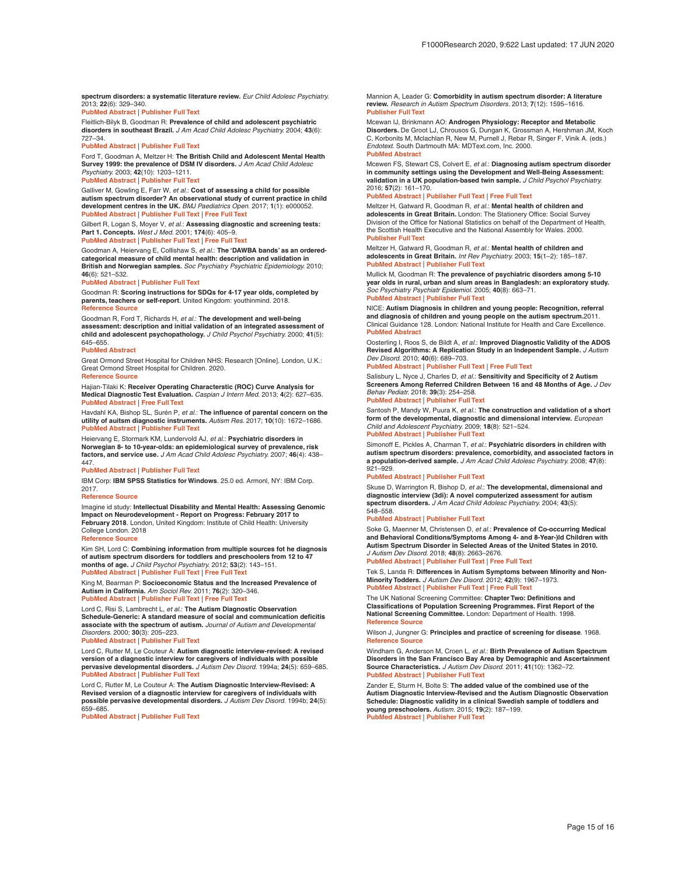<span id="page-14-0"></span>**spectrum disorders: a systematic literature review.** *Eur Child Adolesc Psychiatry.* 2013; **22**(6): 329–340.

**[PubMed Abstract](http://www.ncbi.nlm.nih.gov/pubmed/23322184)** | **[Publisher Full Text](http://dx.doi.org/10.1007/s00787-013-0375-0)**

Fleitlich-Bilyk B, Goodman R: **Prevalence of child and adolescent psychiatric disorders in southeast Brazil.** *J Am Acad Child Adolesc Psychiatry.* 2004; **43**(6): 727–34.

**[PubMed Abstract](http://www.ncbi.nlm.nih.gov/pubmed/15167089)** | **[Publisher Full Text](http://dx.doi.org/10.1097/01.chi.0000120021.14101.ca)**

Ford T, Goodman A, Meltzer H: **The British Child and Adolescent Mental Health Survey 1999: the prevalence of DSM IV disorders.** *J Am Acad Child Adolesc Psychiatry.* 2003; **42**(10): 1203–1211.

**[PubMed Abstract](http://www.ncbi.nlm.nih.gov/pubmed/14560170)** | **[Publisher Full Text](http://dx.doi.org/10.1097/00004583-200310000-00011)**

Galliver M, Gowling E, Farr W, *et al.*: **Cost of assessing a child for possible autism spectrum disorder? An observational study of current practice in child development centres in the UK.** *BMJ Paediatrics Open.* 2017; **1**(1): e000052. **[PubMed Abstract](http://www.ncbi.nlm.nih.gov/pubmed/29637106)** | **[Publisher Full Text](http://dx.doi.org/10.1136/bmjpo-2017-000052)** | **[Free Full Text](http://www.ncbi.nlm.nih.gov/pmc/articles/5862208)**

Gilbert R, Logan S, Moyer V, *et al.*: **Assessing diagnostic and screening tests: Part 1. Concepts.** *West J Med.* 2001; **174**(6): 405–9. **[PubMed Abstract](http://www.ncbi.nlm.nih.gov/pubmed/11381009)** | **[Publisher Full Text](http://dx.doi.org/10.1136/ewjm.174.6.405)** | **[Free Full Text](http://www.ncbi.nlm.nih.gov/pmc/articles/1071430)**

Goodman A, Heiervang E, Collishaw S, *et al.*: **The 'DAWBA bands' as an orderedcategorical measure of child mental health: description and validation in British and Norwegian samples.** *Soc Psychiatry Psychiatric Epidemiology.* 2010; **46**(6): 521–532.

**[PubMed Abstract](http://www.ncbi.nlm.nih.gov/pubmed/20376427)** | **[Publisher Full Text](http://dx.doi.org/10.1007/s00127-010-0219-x)**

Goodman R: **Scoring instructions for SDQs for 4-17 year olds, completed by parents, teachers or self-report**. United Kingdom: youthinmind. 2018. **[Reference Source](https://www.ehcap.co.uk/content/sites/ehcap/uploads/NewsDocuments/236/SDQEnglishUK4-17scoring-1.PDF)**

Goodman R, Ford T, Richards H, *et al.*: **The development and well-being assessment: description and initial validation of an integrated assessment of child and adolescent psychopathology.** *J Child Psychol Psychiatry.* 2000; **41**(5): 645–655. **[PubMed Abstract](http://www.ncbi.nlm.nih.gov/pubmed/10946756)**

Great Ormond Street Hospital for Children NHS: Research [Online]. London, U.K.: Great Ormond Street Hospital for Children. 2020. **[Reference Source](https://www.gosh.nhs.uk/medical-information/clinical-specialties/child-and-adolescent-mental-health-services-camhs-information-parents-and-visitors-new/national-centre-high-functioning-autism/research)**

Hajian-Tilaki K: **Receiver Operating Characterstic (ROC) Curve Analysis for Medical Diagnostic Test Evaluation.** *Caspian J Intern Med.* 2013; **4**(2): 627–635. **[PubMed Abstract](http://www.ncbi.nlm.nih.gov/pubmed/24009950)** | **[Free Full Text](http://www.ncbi.nlm.nih.gov/pmc/articles/PMC3755824)**

Havdahl KA, Bishop SL, Surén P, *et al.*: **The influence of parental concern on the utility of auitsm diagnostic instruments.** *Autism Res.* 2017; **10**(10): 1672–1686. **[PubMed Abstract](http://www.ncbi.nlm.nih.gov/pubmed/28639396)** | **[Publisher Full Text](http://dx.doi.org/10.1002/aur.1817)**

Heiervang E, Stormark KM, Lundervold AJ, *et al.*: **Psychiatric disorders in Norwegian 8- to 10-year-olds: an epidemiological survey of prevalence, risk factors, and service use.** *J Am Acad Child Adolesc Psychiatry.* 2007; **46**(4): 438– 447.

#### **[PubMed Abstract](http://www.ncbi.nlm.nih.gov/pubmed/17420678)** | **[Publisher Full Text](http://dx.doi.org/10.1097/chi.0b013e31803062bf)**

IBM Corp: **IBM SPSS Statistics for Windows**. 25.0 ed. Armonl, NY: IBM Corp. 2017.

**[Reference Source](https://www.ibm.com/support/pages/how-cite-ibm-spss-statistics-or-earlier-versions-spss)**

Imagine id study: **Intellectual Disability and Mental Health: Assessing Genomic Impact on Neurodevelopment - Report on Progress: February 2017 to February 2018**. London, United Kingdom: Institute of Child Health: University College London. 2018

**[Reference Source](https://gtr.ukri.org/projects?ref=MR/N022572/1)**

Kim SH, Lord C: **Combining information from multiple sources fot he diagnosis of autism spectrum disorders for toddlers and preschoolers from 12 to 47 months of age.** *J Child Psychol Psychiatry.* 2012; **53**(2): 143–151. **[PubMed Abstract](http://www.ncbi.nlm.nih.gov/pubmed/21883205)** | **[Publisher Full Text](http://dx.doi.org/10.1111/j.1469-7610.2011.02458.x)** | **[Free Full Text](http://www.ncbi.nlm.nih.gov/pmc/articles/3235227)**

King M, Bearman P: **Socioeconomic Status and the Increased Prevalence of Autism in California.** *Am Sociol Rev.* 2011; **76**(2): 320–346. **[PubMed Abstract](http://www.ncbi.nlm.nih.gov/pubmed/21547238)** | **[Publisher Full Text](http://dx.doi.org/10.1177/0003122411399389)** | **[Free Full Text](http://www.ncbi.nlm.nih.gov/pmc/articles/3086778)**

Lord C, Risi S, Lambrecht L, *et al.*: **The Autism Diagnostic Observation Schedule-Generic: A standard measure of social and communication deficitis associate with the spectrum of autism.** *Journal of Autism and Developmental Disorders.* 2000; **30**(3): 205–223.

**[PubMed Abstract](http://www.ncbi.nlm.nih.gov/pubmed/11055457)** | **[Publisher Full Text](http://dx.doi.org/10.1023/A:1005592401947)**

Lord C, Rutter M, Le Couteur A: **Autism diagnostic interview-revised: A revised version of a diagnostic interview for caregivers of individuals with possible pervasive developmental disorders.** *J Autism Dev Disord.* 1994a; **24**(5): 659–685. **[PubMed Abstract](http://www.ncbi.nlm.nih.gov/pubmed/7814313)** | **[Publisher Full Text](http://dx.doi.org/10.1007/BF02172145)**

Lord C, Rutter M, Le Couteur A: **The Autism Diagnostic Interview-Revised: A Revised version of a diagnostic interview for caregivers of individuals with possible pervasive developmental disorders.** *J Autism Dev Disord.* 1994b; **24**(5): 659–685.

**[PubMed Abstract](http://www.ncbi.nlm.nih.gov/pubmed/7814313)** | **[Publisher Full Text](http://dx.doi.org/10.1007/BF02172145)**

Mannion A, Leader G: **Comorbidity in autism spectrum disorder: A literature review.** *Research in Autism Spectrum Disorders.* 2013; **7**(12): 1595–1616. **[Publisher Full Text](http://dx.doi.org/10.1016/j.rasd.2013.09.006)**

Mcewan IJ, Brinkmann AO: **Androgen Physiology: Receptor and Metabolic Disorders.** De Groot LJ, Chrousos G, Dungan K, Grossman A, Hershman JM, Koch C, Korbonits M, Mclachlan R, New M, Purnell J, Rebar R, Singer F, Vinik A. (eds.) *Endotext*. South Dartmouth MA: MDText.com, Inc. 2000. **[PubMed Abstract](http://www.ncbi.nlm.nih.gov/pubmed/25905257)**

Mcewen FS, Stewart CS, Colvert E, *et al.*: **Diagnosing autism spectrum disorder in community settings using the Development and Well-Being Assessment: validation in a UK population-based twin sample.** *J Child Psychol Psychiatry.* 2016; **57**(2): 161–170.

#### **[PubMed Abstract](http://www.ncbi.nlm.nih.gov/pubmed/26174111)** | **[Publisher Full Text](http://dx.doi.org/10.1111/jcpp.12447)** | **[Free Full Text](http://www.ncbi.nlm.nih.gov/pmc/articles/4949990)**

Meltzer H, Gatward R, Goodman R, *et al.*: **Mental health of children and adolescents in Great Britain.** London: The Stationery Office: Social Survey Division of the Office for National Statistics on behalf of the Department of Health, the Scottish Health Executive and the National Assembly for Wales. 2000. **[Publisher Full Text](http://dx.doi.org/10.1080/0954026021000046155)**

Meltzer H, Gatward R, Goodman R, *et al.*: **Mental health of children and adolescents in Great Britain.** *Int Rev Psychiatry.* 2003; **15**(1–2): 185–187. **[PubMed Abstract](http://www.ncbi.nlm.nih.gov/pubmed/12745331)** | **[Publisher Full Text](http://dx.doi.org/10.1080/0954026021000046155)**

Mullick M, Goodman R: **The prevalence of psychiatric disorders among 5-10 year olds in rural, urban and slum areas in Bangladesh: an exploratory study.** *Soc Psychiatry Psychiatr Epidemiol.* 2005; **40**(8): 663–71. **[PubMed Abstract](http://www.ncbi.nlm.nih.gov/pubmed/16091858)** | **[Publisher Full Text](http://dx.doi.org/10.1007/s00127-005-0939-5)**

NICE: **Autism Diagnosis in children and young people: Recognition, referral and diagnosis of children and young people on the autism spectrum.**2011. Clinical Guidance 128. London: National Institute for Health and Care Excellence. **[PubMed Abstract](http://www.ncbi.nlm.nih.gov/pubmed/22624178)**

Oosterling I, Roos S, de Bildt A, *et al.*: **Improved Diagnostic Validity of the ADOS Revised Algorithms: A Replication Study in an Independent Sample.** *J Autism Dev Disord.* 2010; **40**(6): 689–703.

#### **[PubMed Abstract](http://www.ncbi.nlm.nih.gov/pubmed/20148299)** | **[Publisher Full Text](http://dx.doi.org/10.1007/s10803-009-0915-0)** | **[Free Full Text](http://www.ncbi.nlm.nih.gov/pmc/articles/2864898)**

Salisbury L, Nyce J, Charles D, *et al.*: **Sensitivity and Specificity of 2 Autism Screeners Among Referred Children Between 16 and 48 Months of Age.** *J Dev Behav Pediatr.* 2018; **39**(3): 254–258.

**[PubMed Abstract](http://www.ncbi.nlm.nih.gov/pubmed/29570569)** | **[Publisher Full Text](http://dx.doi.org/10.1097/DBP.0000000000000537)**

Santosh P, Mandy W, Puura K, *et al.*: **The construction and validation of a short form of the developmental, diagnostic and dimensional interview.** *European Child and Adolescent Psychiatry.* 2009; **18**(8): 521–524. **[PubMed Abstract](http://www.ncbi.nlm.nih.gov/pubmed/19263189)** | **[Publisher Full Text](http://dx.doi.org/10.1007/s00787-009-0004-0)**

Simonoff E, Pickles A, Charman T, *et al.*: **Psychiatric disorders in children with autism spectrum disorders: prevalence, comorbidity, and associated factors in a population-derived sample.** *J Am Acad Child Adolesc Psychiatry.* 2008; **47**(8): 921–929.

#### **[PubMed Abstract](http://www.ncbi.nlm.nih.gov/pubmed/18645422)** | **[Publisher Full Text](http://dx.doi.org/10.1097/CHI.0b013e318179964f)**

Skuse D, Warrington R, Bishop D, *et al.*: **The developmental, dimensional and diagnostic interview (3di): A novel computerized assessment for autism spectrum disorders.** *J Am Acad Child Adolesc Psychiatry.* 2004; **43**(5): 548–558.

#### **[PubMed Abstract](http://www.ncbi.nlm.nih.gov/pubmed/15100561)** | **[Publisher Full Text](http://dx.doi.org/10.1097/00004583-200405000-00008)**

Soke G, Maenner M, Christensen D, *et al.*: **Prevalence of Co-occurring Medical and Behavioral Conditions/Symptoms Among 4- and 8-Year-)ld Children with Autism Spectrum Disorder in Selected Areas of the United States in 2010.** *J Autism Dev Disord.* 2018; **48**(8): 2663–2676.

**[PubMed Abstract](http://www.ncbi.nlm.nih.gov/pubmed/29524016)** | **[Publisher Full Text](http://dx.doi.org/10.1007/s10803-018-3521-1)** | **[Free Full Text](http://www.ncbi.nlm.nih.gov/pmc/articles/6041136)**

Tek S, Landa R: **Differences in Autism Symptoms between Minority and Non-Minority Todders.** *J Autism Dev Disord.* 2012; **42**(9): 1967–1973. **[PubMed Abstract](http://www.ncbi.nlm.nih.gov/pubmed/22271196)** | **[Publisher Full Text](http://dx.doi.org/10.1007/s10803-012-1445-8)** | **[Free Full Text](http://www.ncbi.nlm.nih.gov/pmc/articles/3402594)**

The UK National Screening Committee: **Chapter Two: Definitions and Classifications of Population Screening Programmes. First Report of the National Screening Committee.** London: Department of Health. 1998. **[Reference Source](https://journals.sagepub.com/doi/pdf/10.1136/jms.5.4.169)**

Wilson J, Jungner G: **Principles and practice of screening for disease**. 1968. **[Reference Source](http://apps.who.int/iris/bitstream/10665/37650/17/WHO_PHP_ 34.pdf)**

Windham G, Anderson M, Croen L, *et al.*: **Birth Prevalence of Autism Spectrum Disorders in the San Francisco Bay Area by Demographic and Ascertainment Source Characteristics.** *J Autism Dev Disord.* 2011; **41**(10): 1362–72. **[PubMed Abstract](http://www.ncbi.nlm.nih.gov/pubmed/21264681)** | **[Publisher Full Text](http://dx.doi.org/10.1007/s10803-010-1160-2)**

Zander E, Sturm H, Bolte S: **The added value of the combined use of the Autism Diagnostic Interview-Revised and the Autism Diagnostic Observation Schedule: Diagnostic validity in a clinical Swedish sample of toddlers and young preschoolers.** *Autism.* 2015; **19**(2): 187–199. **[PubMed Abstract](http://www.ncbi.nlm.nih.gov/pubmed/24413849)** | **[Publisher Full Text](http://dx.doi.org/10.1177/1362361313516199)**